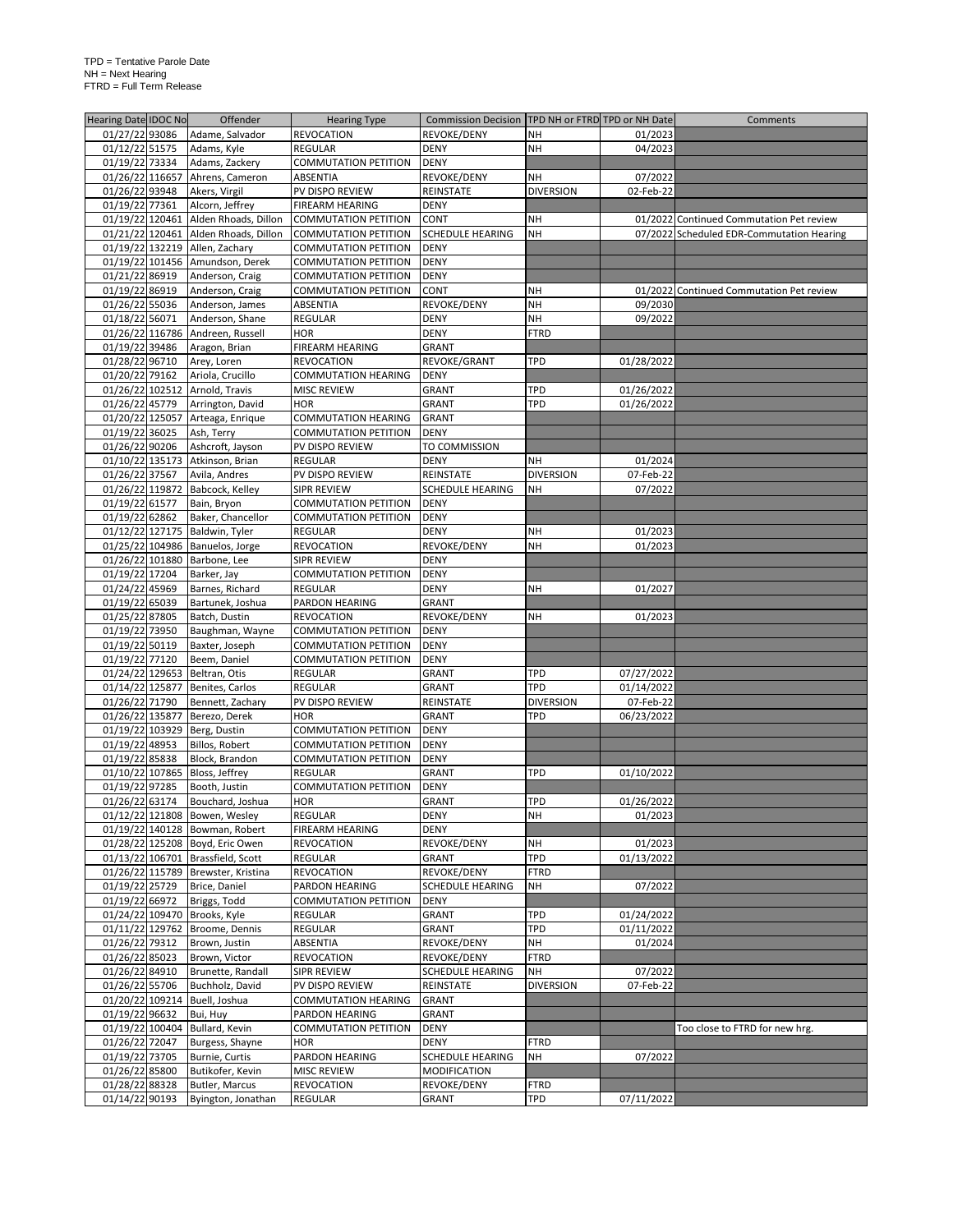| Hearing Date IDOC No              | Offender                                                                | <b>Hearing Type</b>                             | Commission Decision   TPD NH or FTRD TPD or NH Date |                          |                          | Comments                                  |
|-----------------------------------|-------------------------------------------------------------------------|-------------------------------------------------|-----------------------------------------------------|--------------------------|--------------------------|-------------------------------------------|
| 01/27/22 93086                    | Adame, Salvador                                                         | <b>REVOCATION</b>                               | REVOKE/DENY                                         | <b>NH</b>                | 01/2023                  |                                           |
| 01/12/22 51575                    | Adams, Kyle                                                             | REGULAR                                         | <b>DENY</b>                                         | <b>NH</b>                | 04/2023                  |                                           |
| 01/19/22 73334                    | Adams, Zackery                                                          | <b>COMMUTATION PETITION</b>                     | <b>DENY</b>                                         |                          |                          |                                           |
| 01/26/22 116657                   | Ahrens, Cameron                                                         | ABSENTIA                                        | REVOKE/DENY                                         | NΗ                       | 07/2022                  |                                           |
| 01/26/22 93948                    | Akers, Virgil                                                           | PV DISPO REVIEW                                 | REINSTATE                                           | <b>DIVERSION</b>         | 02-Feb-22                |                                           |
| 01/19/22 77361                    | Alcorn, Jeffrey                                                         | FIREARM HEARING                                 | <b>DENY</b>                                         |                          |                          |                                           |
|                                   | 01/19/22 120461 Alden Rhoads, Dillon                                    | <b>COMMUTATION PETITION</b>                     | CONT                                                | <b>NH</b>                |                          | 01/2022 Continued Commutation Pet review  |
|                                   | 01/21/22 120461 Alden Rhoads, Dillon                                    | <b>COMMUTATION PETITION</b>                     | <b>SCHEDULE HEARING</b>                             | <b>NH</b>                |                          | 07/2022 Scheduled EDR-Commutation Hearing |
|                                   | 01/19/22 132219 Allen, Zachary                                          | <b>COMMUTATION PETITION</b>                     | <b>DENY</b>                                         |                          |                          |                                           |
|                                   | 01/19/22 101456 Amundson, Derek                                         | <b>COMMUTATION PETITION</b>                     | <b>DENY</b>                                         |                          |                          |                                           |
| 01/21/22 86919                    | Anderson, Craig                                                         | <b>COMMUTATION PETITION</b>                     | <b>DENY</b>                                         |                          |                          |                                           |
| 01/19/22 86919                    | Anderson, Craig                                                         | <b>COMMUTATION PETITION</b>                     | CONT                                                | <b>NH</b>                |                          | 01/2022 Continued Commutation Pet review  |
| 01/26/22 55036                    | Anderson, James                                                         | ABSENTIA                                        | REVOKE/DENY                                         | <b>NH</b>                | 09/2030                  |                                           |
| 01/18/22 56071                    | Anderson, Shane                                                         | REGULAR                                         | <b>DENY</b>                                         | NH                       | 09/2022                  |                                           |
|                                   | 01/26/22 116786 Andreen, Russell                                        | <b>HOR</b>                                      | <b>DENY</b>                                         | <b>FTRD</b>              |                          |                                           |
| 01/19/22 39486                    | Aragon, Brian                                                           | FIREARM HEARING                                 | GRANT                                               | TPD                      |                          |                                           |
| 01/28/22 96710<br>01/20/22 79162  | Arey, Loren<br>Ariola, Crucillo                                         | <b>REVOCATION</b><br><b>COMMUTATION HEARING</b> | REVOKE/GRANT<br><b>DENY</b>                         |                          | 01/28/2022               |                                           |
|                                   | 01/26/22 102512 Arnold, Travis                                          |                                                 | GRANT                                               | TPD                      |                          |                                           |
| 01/26/22 45779                    | Arrington, David                                                        | <b>MISC REVIEW</b><br><b>HOR</b>                | GRANT                                               | <b>TPD</b>               | 01/26/2022<br>01/26/2022 |                                           |
|                                   | 01/20/22 125057 Arteaga, Enrique                                        | <b>COMMUTATION HEARING</b>                      | <b>GRANT</b>                                        |                          |                          |                                           |
| 01/19/22 36025                    | Ash, Terry                                                              | <b>COMMUTATION PETITION</b>                     | <b>DENY</b>                                         |                          |                          |                                           |
| 01/26/22 90206                    | Ashcroft, Jayson                                                        | PV DISPO REVIEW                                 | TO COMMISSION                                       |                          |                          |                                           |
|                                   | 01/10/22 135173 Atkinson, Brian                                         | <b>REGULAR</b>                                  | <b>DENY</b>                                         | NΗ                       | 01/2024                  |                                           |
| 01/26/22 37567                    | Avila, Andres                                                           | PV DISPO REVIEW                                 | REINSTATE                                           | <b>DIVERSION</b>         | 07-Feb-22                |                                           |
| 01/26/22 119872                   | Babcock, Kelley                                                         | SIPR REVIEW                                     | SCHEDULE HEARING                                    | NΗ                       | 07/2022                  |                                           |
| 01/19/22 61577                    | Bain, Bryon                                                             | <b>COMMUTATION PETITION</b>                     | <b>DENY</b>                                         |                          |                          |                                           |
| 01/19/22 62862                    | Baker, Chancellor                                                       | <b>COMMUTATION PETITION</b>                     | <b>DENY</b>                                         |                          |                          |                                           |
| 01/12/22 127175                   | Baldwin, Tyler                                                          | <b>REGULAR</b>                                  | DENY                                                | NΗ                       | 01/2023                  |                                           |
|                                   | 01/25/22 104986 Banuelos, Jorge                                         | <b>REVOCATION</b>                               | REVOKE/DENY                                         | <b>NH</b>                | 01/2023                  |                                           |
|                                   | 01/26/22 101880 Barbone, Lee                                            | SIPR REVIEW                                     | <b>DENY</b>                                         |                          |                          |                                           |
| 01/19/22 17204                    | Barker, Jay                                                             | <b>COMMUTATION PETITION</b>                     | <b>DENY</b>                                         |                          |                          |                                           |
| 01/24/22 45969                    | Barnes, Richard                                                         | <b>REGULAR</b>                                  | <b>DENY</b>                                         | <b>NH</b>                | 01/2027                  |                                           |
| 01/19/22 65039                    | Bartunek, Joshua                                                        | PARDON HEARING                                  | GRANT                                               |                          |                          |                                           |
| 01/25/22 87805                    | Batch, Dustin                                                           | <b>REVOCATION</b>                               | REVOKE/DENY                                         | <b>NH</b>                | 01/2023                  |                                           |
| 01/19/22 73950                    | Baughman, Wayne                                                         | <b>COMMUTATION PETITION</b>                     | <b>DENY</b>                                         |                          |                          |                                           |
| 01/19/22 50119                    | Baxter, Joseph                                                          | <b>COMMUTATION PETITION</b>                     | <b>DENY</b>                                         |                          |                          |                                           |
| 01/19/22 77120                    | Beem, Daniel                                                            | <b>COMMUTATION PETITION</b>                     | <b>DENY</b>                                         |                          |                          |                                           |
|                                   | 01/24/22 129653 Beltran, Otis                                           | REGULAR                                         | GRANT                                               | TPD                      | 07/27/2022               |                                           |
|                                   | 01/14/22 125877 Benites, Carlos                                         | REGULAR                                         | GRANT                                               | TPD                      | 01/14/2022               |                                           |
| 01/26/22 71790                    | Bennett, Zachary                                                        | PV DISPO REVIEW                                 | REINSTATE                                           | <b>DIVERSION</b>         | 07-Feb-22                |                                           |
| 01/26/22 135877                   | Berezo, Derek                                                           | <b>HOR</b>                                      | GRANT                                               | TPD                      | 06/23/2022               |                                           |
|                                   | 01/19/22 103929 Berg, Dustin                                            | <b>COMMUTATION PETITION</b>                     | <b>DENY</b>                                         |                          |                          |                                           |
| 01/19/22 48953                    | Billos, Robert                                                          | <b>COMMUTATION PETITION</b>                     | <b>DENY</b>                                         |                          |                          |                                           |
| 01/19/22 85838                    | Block, Brandon                                                          | <b>COMMUTATION PETITION</b>                     | <b>DENY</b>                                         |                          |                          |                                           |
|                                   | 01/10/22 107865 Bloss, Jeffrey                                          | REGULAR                                         | GRANT                                               | TPD                      | 01/10/2022               |                                           |
| 01/19/22 97285                    | Booth, Justin                                                           | <b>COMMUTATION PETITION</b>                     | <b>DENY</b>                                         |                          |                          |                                           |
| 01/26/22 63174                    | Bouchard, Joshua                                                        | <b>HOR</b>                                      | <b>GRANT</b>                                        | TPD                      | 01/26/2022               |                                           |
|                                   | 01/12/22 121808 Bowen, Wesley                                           | <b>REGULAR</b>                                  | DENY                                                | NH                       | 01/2023                  |                                           |
|                                   | 01/19/22 140128 Bowman, Robert                                          | <b>FIREARM HEARING</b>                          | <b>DENY</b>                                         |                          |                          |                                           |
|                                   | 01/28/22 125208 Boyd, Eric Owen                                         | <b>REVOCATION</b>                               | REVOKE/DENY                                         | NH<br>TPD                | 01/2023                  |                                           |
|                                   | 01/13/22 106701 Brassfield, Scott<br>01/26/22 115789 Brewster, Kristina | REGULAR                                         | GRANT                                               |                          | 01/13/2022               |                                           |
| 01/19/22 25729                    | Brice, Daniel                                                           | <b>REVOCATION</b><br>PARDON HEARING             | REVOKE/DENY<br>SCHEDULE HEARING                     | <b>FTRD</b><br><b>NH</b> | 07/2022                  |                                           |
|                                   |                                                                         | <b>COMMUTATION PETITION</b>                     | <b>DENY</b>                                         |                          |                          |                                           |
| 01/19/22 66972<br>01/24/22 109470 | Briggs, Todd<br>Brooks, Kyle                                            | <b>REGULAR</b>                                  | GRANT                                               | <b>TPD</b>               | 01/24/2022               |                                           |
| 01/11/22 129762                   | Broome, Dennis                                                          | <b>REGULAR</b>                                  | GRANT                                               | <b>TPD</b>               | 01/11/2022               |                                           |
| 01/26/22 79312                    | Brown, Justin                                                           | <b>ABSENTIA</b>                                 | REVOKE/DENY                                         | NH                       | 01/2024                  |                                           |
| 01/26/22 85023                    | Brown, Victor                                                           | <b>REVOCATION</b>                               | REVOKE/DENY                                         | <b>FTRD</b>              |                          |                                           |
| 01/26/22 84910                    | Brunette, Randall                                                       | SIPR REVIEW                                     | SCHEDULE HEARING                                    | NH                       | 07/2022                  |                                           |
| 01/26/22 55706                    | Buchholz, David                                                         | PV DISPO REVIEW                                 | REINSTATE                                           | <b>DIVERSION</b>         | 07-Feb-22                |                                           |
| 01/20/22 109214                   | Buell, Joshua                                                           | <b>COMMUTATION HEARING</b>                      | GRANT                                               |                          |                          |                                           |
| 01/19/22 96632                    | Bui, Huy                                                                | PARDON HEARING                                  | GRANT                                               |                          |                          |                                           |
| 01/19/22 100404                   | Bullard, Kevin                                                          | <b>COMMUTATION PETITION</b>                     | DENY                                                |                          |                          | Too close to FTRD for new hrg.            |
| 01/26/22 72047                    | Burgess, Shayne                                                         | <b>HOR</b>                                      | <b>DENY</b>                                         | <b>FTRD</b>              |                          |                                           |
| 01/19/22 73705                    | Burnie, Curtis                                                          | PARDON HEARING                                  | SCHEDULE HEARING                                    | NH                       | 07/2022                  |                                           |
| 01/26/22 85800                    | Butikofer, Kevin                                                        | <b>MISC REVIEW</b>                              | MODIFICATION                                        |                          |                          |                                           |
| 01/28/22 88328                    | Butler, Marcus                                                          | REVOCATION                                      | REVOKE/DENY                                         | <b>FTRD</b>              |                          |                                           |
| 01/14/22 90193                    | Byington, Jonathan                                                      | REGULAR                                         | GRANT                                               | TPD                      | 07/11/2022               |                                           |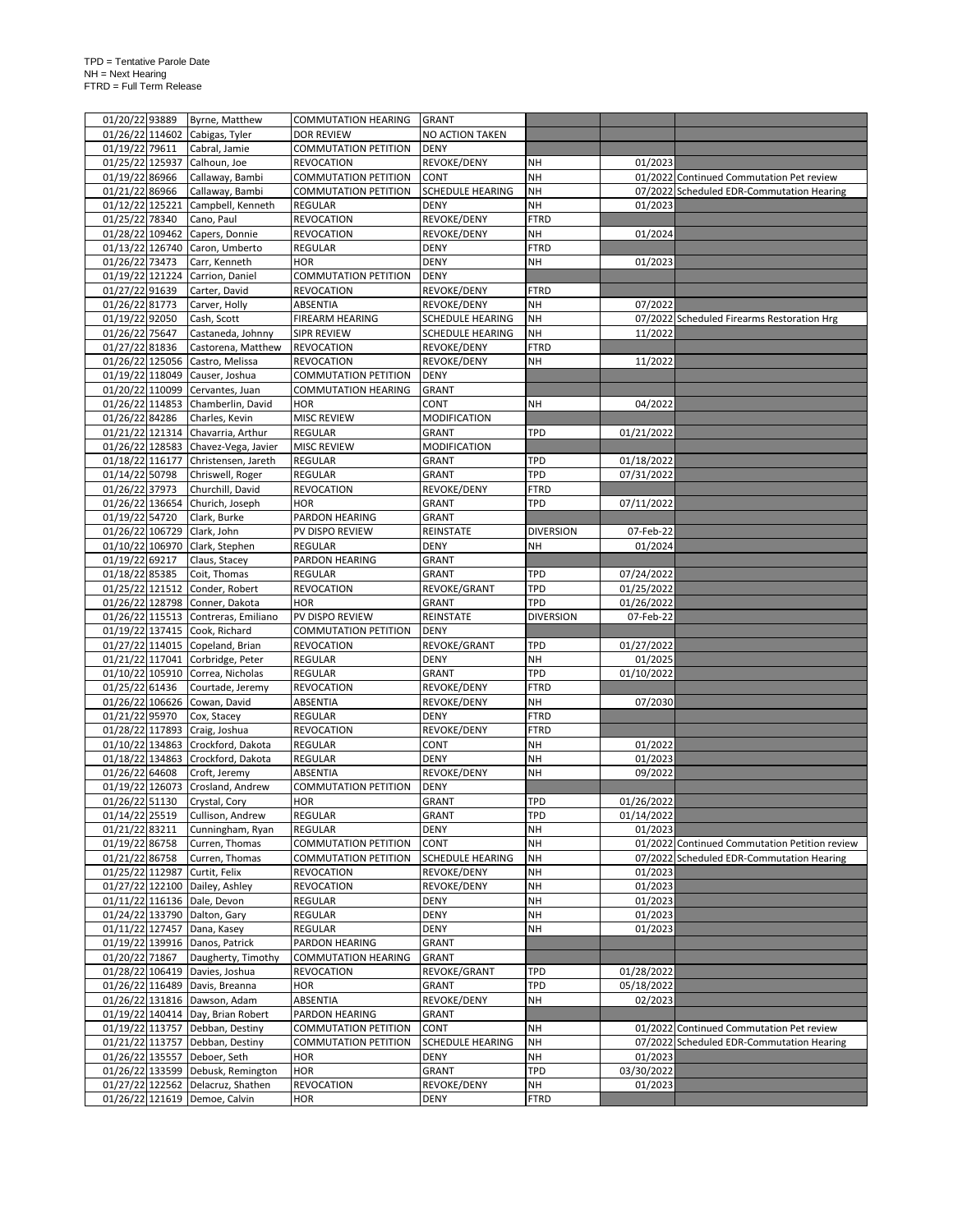| 01/20/22 93889  |                 | Byrne, Matthew                                                     | <b>COMMUTATION HEARING</b>      | <b>GRANT</b>            |                  |            |                                               |
|-----------------|-----------------|--------------------------------------------------------------------|---------------------------------|-------------------------|------------------|------------|-----------------------------------------------|
|                 |                 | 01/26/22 114602 Cabigas, Tyler                                     | <b>DOR REVIEW</b>               | NO ACTION TAKEN         |                  |            |                                               |
| 01/19/22 79611  |                 | Cabral, Jamie                                                      | <b>COMMUTATION PETITION</b>     | <b>DENY</b>             |                  |            |                                               |
| 01/25/22 125937 |                 | Calhoun, Joe                                                       | <b>REVOCATION</b>               | REVOKE/DENY             | NH               | 01/2023    |                                               |
| 01/19/22 86966  |                 | Callaway, Bambi                                                    | <b>COMMUTATION PETITION</b>     | CONT                    | <b>NH</b>        |            | 01/2022 Continued Commutation Pet review      |
| 01/21/22 86966  |                 | Callaway, Bambi                                                    | <b>COMMUTATION PETITION</b>     |                         | <b>NH</b>        |            | 07/2022 Scheduled EDR-Commutation Hearing     |
|                 |                 |                                                                    |                                 | SCHEDULE HEARING        |                  |            |                                               |
| 01/12/22 125221 |                 | Campbell, Kenneth                                                  | <b>REGULAR</b>                  | <b>DENY</b>             | <b>NH</b>        | 01/2023    |                                               |
| 01/25/22 78340  |                 | Cano, Paul                                                         | <b>REVOCATION</b>               | REVOKE/DENY             | <b>FTRD</b>      |            |                                               |
| 01/28/22 109462 |                 | Capers, Donnie                                                     | <b>REVOCATION</b>               | REVOKE/DENY             | NH               | 01/2024    |                                               |
|                 |                 | 01/13/22 126740 Caron, Umberto                                     | <b>REGULAR</b>                  | <b>DENY</b>             | <b>FTRD</b>      |            |                                               |
| 01/26/22 73473  |                 | Carr, Kenneth                                                      | <b>HOR</b>                      | <b>DENY</b>             | NH               | 01/2023    |                                               |
| 01/19/22 121224 |                 | Carrion, Daniel                                                    | COMMUTATION PETITION            | <b>DENY</b>             |                  |            |                                               |
| 01/27/22 91639  |                 | Carter, David                                                      | <b>REVOCATION</b>               | REVOKE/DENY             | <b>FTRD</b>      |            |                                               |
| 01/26/22 81773  |                 | Carver, Holly                                                      | ABSENTIA                        | REVOKE/DENY             | NΗ               | 07/2022    |                                               |
| 01/19/22 92050  |                 | Cash, Scott                                                        | FIREARM HEARING                 | SCHEDULE HEARING        | NH               |            | 07/2022 Scheduled Firearms Restoration Hrg    |
| 01/26/22 75647  |                 | Castaneda, Johnny                                                  | <b>SIPR REVIEW</b>              | SCHEDULE HEARING        | NΗ               | 11/2022    |                                               |
| 01/27/22 81836  |                 | Castorena, Matthew                                                 | <b>REVOCATION</b>               | REVOKE/DENY             | <b>FTRD</b>      |            |                                               |
| 01/26/22 125056 |                 | Castro, Melissa                                                    | <b>REVOCATION</b>               | REVOKE/DENY             | NΗ               | 11/2022    |                                               |
|                 |                 |                                                                    |                                 | <b>DENY</b>             |                  |            |                                               |
|                 |                 | 01/19/22 118049 Causer, Joshua                                     | <b>COMMUTATION PETITION</b>     |                         |                  |            |                                               |
|                 |                 | 01/20/22 110099 Cervantes, Juan                                    | <b>COMMUTATION HEARING</b>      | <b>GRANT</b>            |                  |            |                                               |
|                 |                 | 01/26/22 114853 Chamberlin, David                                  | <b>HOR</b>                      | CONT                    | NΗ               | 04/2022    |                                               |
| 01/26/22 84286  |                 | Charles, Kevin                                                     | <b>MISC REVIEW</b>              | MODIFICATION            |                  |            |                                               |
|                 |                 | 01/21/22 121314 Chavarria, Arthur                                  | REGULAR                         | GRANT                   | TPD              | 01/21/2022 |                                               |
|                 |                 | 01/26/22 128583 Chavez-Vega, Javier                                | <b>MISC REVIEW</b>              | MODIFICATION            |                  |            |                                               |
|                 |                 | 01/18/22 116177 Christensen, Jareth                                | <b>REGULAR</b>                  | GRANT                   | TPD              | 01/18/2022 |                                               |
| 01/14/22 50798  |                 | Chriswell, Roger                                                   | <b>REGULAR</b>                  | GRANT                   | <b>TPD</b>       | 07/31/2022 |                                               |
| 01/26/22 37973  |                 | Churchill, David                                                   | <b>REVOCATION</b>               | REVOKE/DENY             | <b>FTRD</b>      |            |                                               |
| 01/26/22 136654 |                 | Churich, Joseph                                                    | <b>HOR</b>                      | GRANT                   | <b>TPD</b>       | 07/11/2022 |                                               |
| 01/19/22 54720  |                 | Clark, Burke                                                       | PARDON HEARING                  | <b>GRANT</b>            |                  |            |                                               |
| 01/26/22 106729 |                 | Clark, John                                                        | PV DISPO REVIEW                 | REINSTATE               | <b>DIVERSION</b> | 07-Feb-22  |                                               |
|                 |                 | 01/10/22 106970 Clark, Stephen                                     | <b>REGULAR</b>                  | DENY                    | NΗ               | 01/2024    |                                               |
| 01/19/22 69217  |                 |                                                                    | PARDON HEARING                  |                         |                  |            |                                               |
|                 |                 | Claus, Stacey                                                      |                                 | GRANT                   |                  |            |                                               |
| 01/18/22 85385  |                 | Coit, Thomas                                                       | <b>REGULAR</b>                  | GRANT                   | TPD              | 07/24/2022 |                                               |
|                 |                 | 01/25/22 121512 Conder, Robert                                     | <b>REVOCATION</b>               | REVOKE/GRANT            | <b>TPD</b>       | 01/25/2022 |                                               |
|                 |                 |                                                                    |                                 |                         |                  |            |                                               |
|                 |                 | 01/26/22 128798 Conner, Dakota                                     | <b>HOR</b>                      | GRANT                   | TPD              | 01/26/2022 |                                               |
|                 |                 | 01/26/22 115513 Contreras, Emiliano                                | PV DISPO REVIEW                 | REINSTATE               | <b>DIVERSION</b> | 07-Feb-22  |                                               |
|                 |                 | 01/19/22 137415 Cook, Richard                                      | <b>COMMUTATION PETITION</b>     | <b>DENY</b>             |                  |            |                                               |
|                 |                 | 01/27/22 114015 Copeland, Brian                                    | <b>REVOCATION</b>               | REVOKE/GRANT            | TPD              | 01/27/2022 |                                               |
|                 |                 | 01/21/22 117041 Corbridge, Peter                                   | <b>REGULAR</b>                  | DENY                    | NH               | 01/2025    |                                               |
|                 |                 |                                                                    | <b>REGULAR</b>                  | GRANT                   | TPD              |            |                                               |
|                 |                 | 01/10/22 105910 Correa, Nicholas                                   |                                 |                         |                  | 01/10/2022 |                                               |
| 01/25/22 61436  |                 | Courtade, Jeremy                                                   | <b>REVOCATION</b>               | REVOKE/DENY             | <b>FTRD</b>      |            |                                               |
|                 |                 | 01/26/22 106626 Cowan, David                                       | ABSENTIA                        | REVOKE/DENY             | NH               | 07/2030    |                                               |
| 01/21/22 95970  |                 | Cox, Stacey                                                        | <b>REGULAR</b>                  | DENY                    | <b>FTRD</b>      |            |                                               |
|                 |                 | 01/28/22 117893 Craig, Joshua                                      | <b>REVOCATION</b>               | REVOKE/DENY             | <b>FTRD</b>      |            |                                               |
|                 |                 | 01/10/22 134863 Crockford, Dakota                                  | <b>REGULAR</b>                  | CONT                    | NH               | 01/2022    |                                               |
|                 |                 | 01/18/22 134863 Crockford, Dakota                                  | <b>REGULAR</b>                  | <b>DENY</b>             | <b>NH</b>        | 01/2023    |                                               |
| 01/26/22 64608  |                 | Croft, Jeremy                                                      | ABSENTIA                        | REVOKE/DENY             | <b>NH</b>        | 09/2022    |                                               |
|                 |                 | 01/19/22 126073 Crosland, Andrew                                   | <b>COMMUTATION PETITION</b>     | <b>DENY</b>             |                  |            |                                               |
| 01/26/22 51130  |                 | Crystal, Cory                                                      | <b>HOR</b>                      | <b>GRANT</b>            | TPD              | 01/26/2022 |                                               |
| 01/14/22 25519  |                 | Cullison, Andrew                                                   | <b>REGULAR</b>                  | GRANT                   | TPD              | 01/14/2022 |                                               |
| 01/21/22 83211  |                 | Cunningham, Ryan                                                   | <b>REGULAR</b>                  | DENY                    | <b>NH</b>        | 01/2023    |                                               |
| 01/19/22 86758  |                 | Curren, Thomas                                                     | <b>COMMUTATION PETITION</b>     | CONT                    | <b>NH</b>        |            | 01/2022 Continued Commutation Petition review |
| 01/21/22 86758  |                 | Curren, Thomas                                                     | <b>COMMUTATION PETITION</b>     | <b>SCHEDULE HEARING</b> | NH               |            | 07/2022 Scheduled EDR-Commutation Hearing     |
|                 |                 | 01/25/22 112987 Curtit, Felix                                      | <b>REVOCATION</b>               | REVOKE/DENY             | <b>NH</b>        | 01/2023    |                                               |
|                 |                 |                                                                    | <b>REVOCATION</b>               | REVOKE/DENY             | NH               | 01/2023    |                                               |
|                 |                 | 01/27/22 122100 Dailey, Ashley                                     | <b>REGULAR</b>                  |                         |                  | 01/2023    |                                               |
|                 |                 | 01/11/22 116136 Dale, Devon                                        |                                 | DENY                    | NH               |            |                                               |
|                 |                 | 01/24/22 133790 Dalton, Gary                                       | REGULAR                         | DENY                    | NH               | 01/2023    |                                               |
| 01/11/22 127457 |                 | Dana, Kasey                                                        | REGULAR                         | DENY                    | NH               | 01/2023    |                                               |
|                 | 01/19/22 139916 | Danos, Patrick                                                     | PARDON HEARING                  | GRANT                   |                  |            |                                               |
| 01/20/22 71867  |                 | Daugherty, Timothy                                                 | <b>COMMUTATION HEARING</b>      | GRANT                   |                  |            |                                               |
|                 |                 | 01/28/22 106419 Davies, Joshua                                     | <b>REVOCATION</b>               | REVOKE/GRANT            | TPD              | 01/28/2022 |                                               |
|                 |                 | 01/26/22 116489 Davis, Breanna                                     | <b>HOR</b>                      | GRANT                   | TPD              | 05/18/2022 |                                               |
|                 |                 | 01/26/22 131816 Dawson, Adam                                       | <b>ABSENTIA</b>                 | REVOKE/DENY             | NH               | 02/2023    |                                               |
|                 |                 | 01/19/22 140414 Day, Brian Robert                                  | PARDON HEARING                  | GRANT                   |                  |            |                                               |
|                 |                 | 01/19/22 113757 Debban, Destiny                                    | <b>COMMUTATION PETITION</b>     | CONT                    | NΗ               |            | 01/2022 Continued Commutation Pet review      |
|                 |                 | 01/21/22 113757 Debban, Destiny                                    | <b>COMMUTATION PETITION</b>     | SCHEDULE HEARING        | NΗ               |            | 07/2022 Scheduled EDR-Commutation Hearing     |
|                 |                 | 01/26/22 135557 Deboer, Seth                                       | <b>HOR</b>                      | <b>DENY</b>             | NH               | 01/2023    |                                               |
|                 |                 | 01/26/22 133599 Debusk, Remington                                  | <b>HOR</b>                      | GRANT                   | TPD              | 03/30/2022 |                                               |
|                 |                 |                                                                    |                                 |                         |                  |            |                                               |
|                 |                 | 01/27/22 122562 Delacruz, Shathen<br>01/26/22 121619 Demoe, Calvin | <b>REVOCATION</b><br><b>HOR</b> | REVOKE/DENY<br>DENY     | NH<br>FTRD       | 01/2023    |                                               |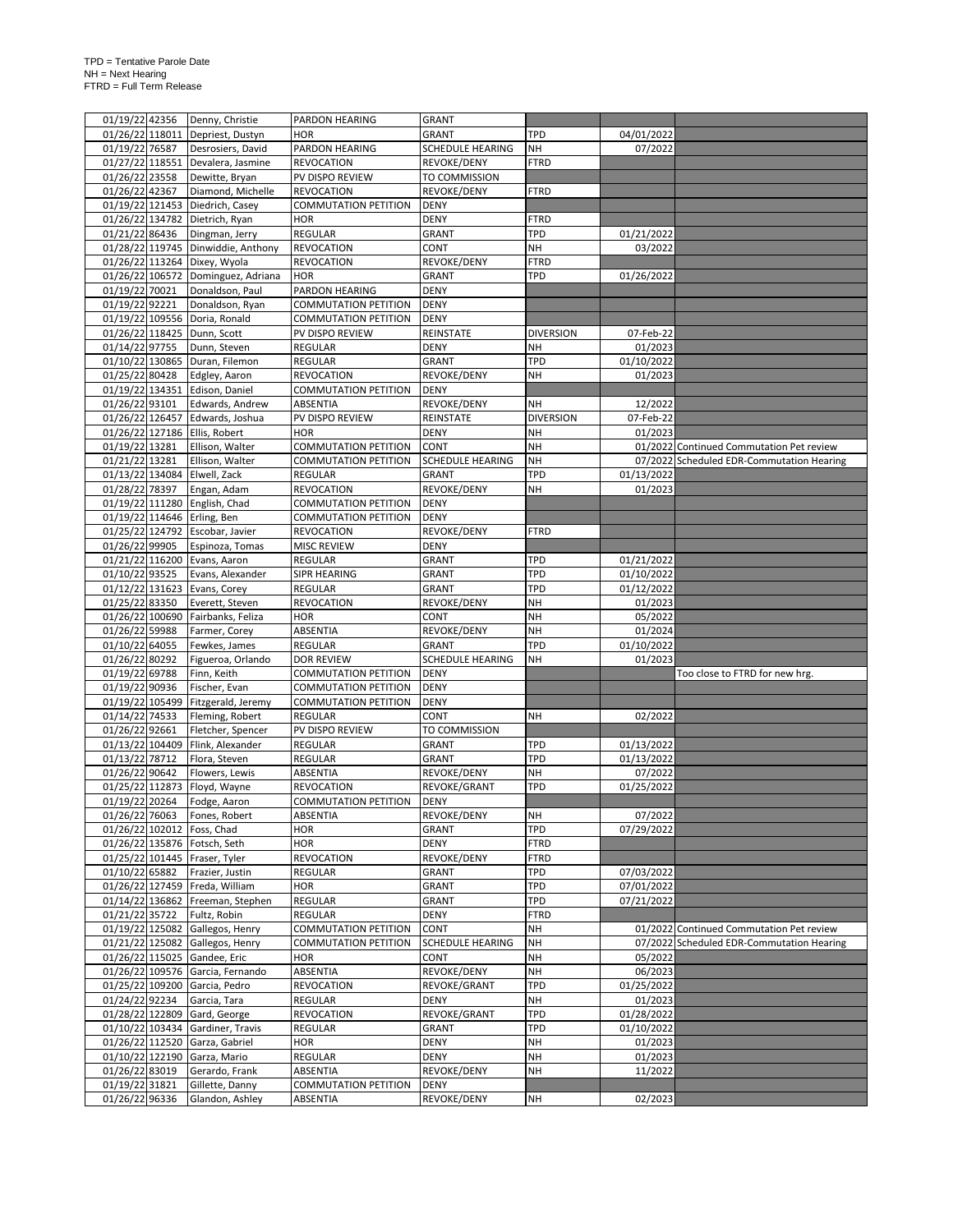| 01/19/22 42356                   |                 | Denny, Christie                    | PARDON HEARING                          | GRANT                             |                  |            |                                           |
|----------------------------------|-----------------|------------------------------------|-----------------------------------------|-----------------------------------|------------------|------------|-------------------------------------------|
| 01/26/22 118011                  |                 | Depriest, Dustyn                   | <b>HOR</b>                              | GRANT                             | <b>TPD</b>       | 04/01/2022 |                                           |
| 01/19/22 76587                   |                 | Desrosiers, David                  | PARDON HEARING                          | SCHEDULE HEARING                  | NH               | 07/2022    |                                           |
|                                  |                 | 01/27/22 118551 Devalera, Jasmine  | <b>REVOCATION</b>                       | REVOKE/DENY                       | <b>FTRD</b>      |            |                                           |
| 01/26/22 23558                   |                 |                                    |                                         |                                   |                  |            |                                           |
|                                  |                 | Dewitte, Bryan                     | PV DISPO REVIEW                         | TO COMMISSION                     |                  |            |                                           |
| 01/26/22 42367                   |                 | Diamond, Michelle                  | <b>REVOCATION</b>                       | REVOKE/DENY                       | <b>FTRD</b>      |            |                                           |
|                                  |                 | 01/19/22 121453 Diedrich, Casey    | <b>COMMUTATION PETITION</b>             | <b>DENY</b>                       |                  |            |                                           |
|                                  |                 | 01/26/22 134782 Dietrich, Ryan     | <b>HOR</b>                              | <b>DENY</b>                       | <b>FTRD</b>      |            |                                           |
| 01/21/22 86436                   |                 | Dingman, Jerry                     | REGULAR                                 | GRANT                             | <b>TPD</b>       | 01/21/2022 |                                           |
|                                  |                 | 01/28/22 119745 Dinwiddie, Anthony | <b>REVOCATION</b>                       | CONT                              | NH               | 03/2022    |                                           |
|                                  |                 | 01/26/22 113264 Dixey, Wyola       | <b>REVOCATION</b>                       | REVOKE/DENY                       | <b>FTRD</b>      |            |                                           |
|                                  |                 | 01/26/22 106572 Dominguez, Adriana | <b>HOR</b>                              | GRANT                             | <b>TPD</b>       | 01/26/2022 |                                           |
| 01/19/22 70021                   |                 | Donaldson, Paul                    | <b>PARDON HEARING</b>                   | <b>DENY</b>                       |                  |            |                                           |
| 01/19/22 92221                   |                 | Donaldson, Ryan                    | <b>COMMUTATION PETITION</b>             | <b>DENY</b>                       |                  |            |                                           |
|                                  |                 | 01/19/22 109556 Doria, Ronald      | COMMUTATION PETITION                    | DENY                              |                  |            |                                           |
|                                  |                 | 01/26/22 118425 Dunn, Scott        | PV DISPO REVIEW                         | REINSTATE                         | <b>DIVERSION</b> | 07-Feb-22  |                                           |
| 01/14/22 97755                   |                 | Dunn, Steven                       | <b>REGULAR</b>                          | <b>DENY</b>                       | <b>NH</b>        | 01/2023    |                                           |
|                                  |                 |                                    | <b>REGULAR</b>                          | GRANT                             | <b>TPD</b>       | 01/10/2022 |                                           |
|                                  |                 | 01/10/22 130865 Duran, Filemon     |                                         |                                   |                  |            |                                           |
| 01/25/22 80428                   |                 | Edgley, Aaron                      | <b>REVOCATION</b>                       | REVOKE/DENY                       | <b>NH</b>        | 01/2023    |                                           |
|                                  | 01/19/22 134351 | Edison, Daniel                     | <b>COMMUTATION PETITION</b>             | <b>DENY</b>                       |                  |            |                                           |
| 01/26/22 93101                   |                 | Edwards, Andrew                    | ABSENTIA                                | REVOKE/DENY                       | NΗ               | 12/2022    |                                           |
| 01/26/22 126457                  |                 | Edwards, Joshua                    | PV DISPO REVIEW                         | REINSTATE                         | <b>DIVERSION</b> | 07-Feb-22  |                                           |
|                                  |                 | 01/26/22 127186 Ellis, Robert      | <b>HOR</b>                              | <b>DENY</b>                       | <b>NH</b>        | 01/2023    |                                           |
| 01/19/22 13281                   |                 | Ellison, Walter                    | <b>COMMUTATION PETITION</b>             | <b>CONT</b>                       | NH               |            | 01/2022 Continued Commutation Pet review  |
| 01/21/22 13281                   |                 | Ellison, Walter                    | <b>COMMUTATION PETITION</b>             | SCHEDULE HEARING                  | <b>NH</b>        |            | 07/2022 Scheduled EDR-Commutation Hearing |
| 01/13/22 134084                  |                 | Elwell, Zack                       | <b>REGULAR</b>                          | GRANT                             | <b>TPD</b>       | 01/13/2022 |                                           |
| 01/28/22 78397                   |                 | Engan, Adam                        | <b>REVOCATION</b>                       | REVOKE/DENY                       | <b>NH</b>        | 01/2023    |                                           |
|                                  |                 | 01/19/22 111280 English, Chad      | <b>COMMUTATION PETITION</b>             | <b>DENY</b>                       |                  |            |                                           |
|                                  |                 | 01/19/22 114646 Erling, Ben        | <b>COMMUTATION PETITION</b>             | <b>DENY</b>                       |                  |            |                                           |
|                                  |                 |                                    |                                         |                                   | <b>FTRD</b>      |            |                                           |
|                                  |                 | 01/25/22 124792 Escobar, Javier    | <b>REVOCATION</b>                       | REVOKE/DENY                       |                  |            |                                           |
| 01/26/22 99905                   |                 | Espinoza, Tomas                    | <b>MISC REVIEW</b>                      | <b>DENY</b>                       |                  |            |                                           |
|                                  |                 | 01/21/22 116200 Evans, Aaron       | <b>REGULAR</b>                          | GRANT                             | <b>TPD</b>       | 01/21/2022 |                                           |
| 01/10/22 93525                   |                 | Evans, Alexander                   | SIPR HEARING                            | GRANT                             | <b>TPD</b>       | 01/10/2022 |                                           |
|                                  |                 | 01/12/22 131623 Evans, Corey       | <b>REGULAR</b>                          | GRANT                             | <b>TPD</b>       | 01/12/2022 |                                           |
| 01/25/22 83350                   |                 | Everett, Steven                    | <b>REVOCATION</b>                       | REVOKE/DENY                       | <b>NH</b>        | 01/2023    |                                           |
|                                  |                 | 01/26/22 100690 Fairbanks, Feliza  | <b>HOR</b>                              | CONT                              | <b>NH</b>        | 05/2022    |                                           |
| 01/26/22 59988                   |                 | Farmer, Corey                      | ABSENTIA                                | REVOKE/DENY                       | NH               | 01/2024    |                                           |
| 01/10/22 64055                   |                 | Fewkes, James                      | REGULAR                                 | GRANT                             | TPD              | 01/10/2022 |                                           |
| 01/26/22 80292                   |                 | Figueroa, Orlando                  | <b>DOR REVIEW</b>                       | SCHEDULE HEARING                  | <b>NH</b>        | 01/2023    |                                           |
| 01/19/22 69788                   |                 | Finn, Keith                        | <b>COMMUTATION PETITION</b>             | <b>DENY</b>                       |                  |            | Too close to FTRD for new hrg.            |
| 01/19/22 90936                   |                 | Fischer, Evan                      | <b>COMMUTATION PETITION</b>             | <b>DENY</b>                       |                  |            |                                           |
|                                  |                 | 01/19/22 105499 Fitzgerald, Jeremy | <b>COMMUTATION PETITION</b>             | <b>DENY</b>                       |                  |            |                                           |
|                                  |                 |                                    |                                         |                                   |                  |            |                                           |
| 01/14/22 74533                   |                 | Fleming, Robert                    | <b>REGULAR</b>                          | CONT                              | <b>NH</b>        | 02/2022    |                                           |
| 01/26/22 92661                   |                 | Fletcher, Spencer                  | PV DISPO REVIEW                         | TO COMMISSION                     |                  |            |                                           |
|                                  |                 | 01/13/22 104409 Flink, Alexander   | <b>REGULAR</b>                          | GRANT                             | TPD              | 01/13/2022 |                                           |
| 01/13/22 78712                   |                 | Flora, Steven                      | <b>REGULAR</b>                          | GRANT                             | <b>TPD</b>       | 01/13/2022 |                                           |
| 01/26/22 90642                   |                 | Flowers, Lewis                     | ABSENTIA                                | REVOKE/DENY                       | <b>NH</b>        | 07/2022    |                                           |
|                                  |                 | 01/25/22 112873 Floyd, Wayne       | <b>REVOCATION</b>                       | REVOKE/GRANT                      | TPD              | 01/25/2022 |                                           |
| 01/19/22 20264                   |                 | Fodge, Aaron                       | <b>COMMUTATION PETITION</b>             | <b>DENY</b>                       |                  |            |                                           |
| 01/26/22 76063                   |                 | Fones, Robert                      | ABSENTIA                                | REVOKE/DENY                       | NH               | 07/2022    |                                           |
|                                  |                 | 01/26/22 102012 Foss, Chad         | <b>HOR</b>                              | <b>GRANT</b>                      | TPD              | 07/29/2022 |                                           |
|                                  |                 | 01/26/22 135876 Fotsch, Seth       | <b>HOR</b>                              | DENY                              | <b>FTRD</b>      |            |                                           |
|                                  |                 | 01/25/22 101445 Fraser, Tyler      | <b>REVOCATION</b>                       | REVOKE/DENY                       | <b>FTRD</b>      |            |                                           |
| 01/10/22 65882                   |                 | Frazier, Justin                    | <b>REGULAR</b>                          | GRANT                             | TPD              | 07/03/2022 |                                           |
|                                  |                 | 01/26/22 127459 Freda, William     | HOR                                     | GRANT                             | TPD              | 07/01/2022 |                                           |
|                                  |                 | 01/14/22 136862 Freeman, Stephen   | REGULAR                                 |                                   | TPD              |            |                                           |
|                                  |                 |                                    |                                         | GRANT                             |                  | 07/21/2022 |                                           |
| 01/21/22 35722                   |                 | Fultz, Robin                       | <b>REGULAR</b>                          | DENY                              | <b>FTRD</b>      |            |                                           |
| 01/19/22 125082                  |                 | Gallegos, Henry                    | <b>COMMUTATION PETITION</b>             | CONT                              | <b>NH</b>        |            | 01/2022 Continued Commutation Pet review  |
|                                  |                 | 01/21/22 125082 Gallegos, Henry    | <b>COMMUTATION PETITION</b>             | <b>SCHEDULE HEARING</b>           | <b>NH</b>        |            | 07/2022 Scheduled EDR-Commutation Hearing |
|                                  |                 | 01/26/22 115025 Gandee, Eric       | <b>HOR</b>                              | CONT                              | <b>NH</b>        | 05/2022    |                                           |
|                                  |                 | 01/26/22 109576 Garcia, Fernando   | ABSENTIA                                | REVOKE/DENY                       | NH               | 06/2023    |                                           |
|                                  |                 | 01/25/22 109200 Garcia, Pedro      | <b>REVOCATION</b>                       | REVOKE/GRANT                      | TPD              | 01/25/2022 |                                           |
| 01/24/22 92234                   |                 | Garcia, Tara                       | <b>REGULAR</b>                          | <b>DENY</b>                       | NH               | 01/2023    |                                           |
| 01/28/22 122809                  |                 | Gard, George                       | <b>REVOCATION</b>                       | REVOKE/GRANT                      | TPD              | 01/28/2022 |                                           |
|                                  |                 | 01/10/22 103434 Gardiner, Travis   | <b>REGULAR</b>                          | GRANT                             | TPD              | 01/10/2022 |                                           |
|                                  |                 |                                    |                                         |                                   |                  |            |                                           |
|                                  |                 |                                    |                                         |                                   |                  |            |                                           |
|                                  |                 | 01/26/22 112520 Garza, Gabriel     | HOR                                     | DENY                              | NH               | 01/2023    |                                           |
|                                  |                 | 01/10/22 122190 Garza, Mario       | REGULAR                                 | DENY                              | <b>NH</b>        | 01/2023    |                                           |
| 01/26/22 83019                   |                 | Gerardo, Frank                     | ABSENTIA                                | REVOKE/DENY                       | NH               | 11/2022    |                                           |
| 01/19/22 31821<br>01/26/22 96336 |                 | Gillette, Danny<br>Glandon, Ashley | <b>COMMUTATION PETITION</b><br>ABSENTIA | <b>DENY</b><br><b>REVOKE/DENY</b> | NΗ               | 02/2023    |                                           |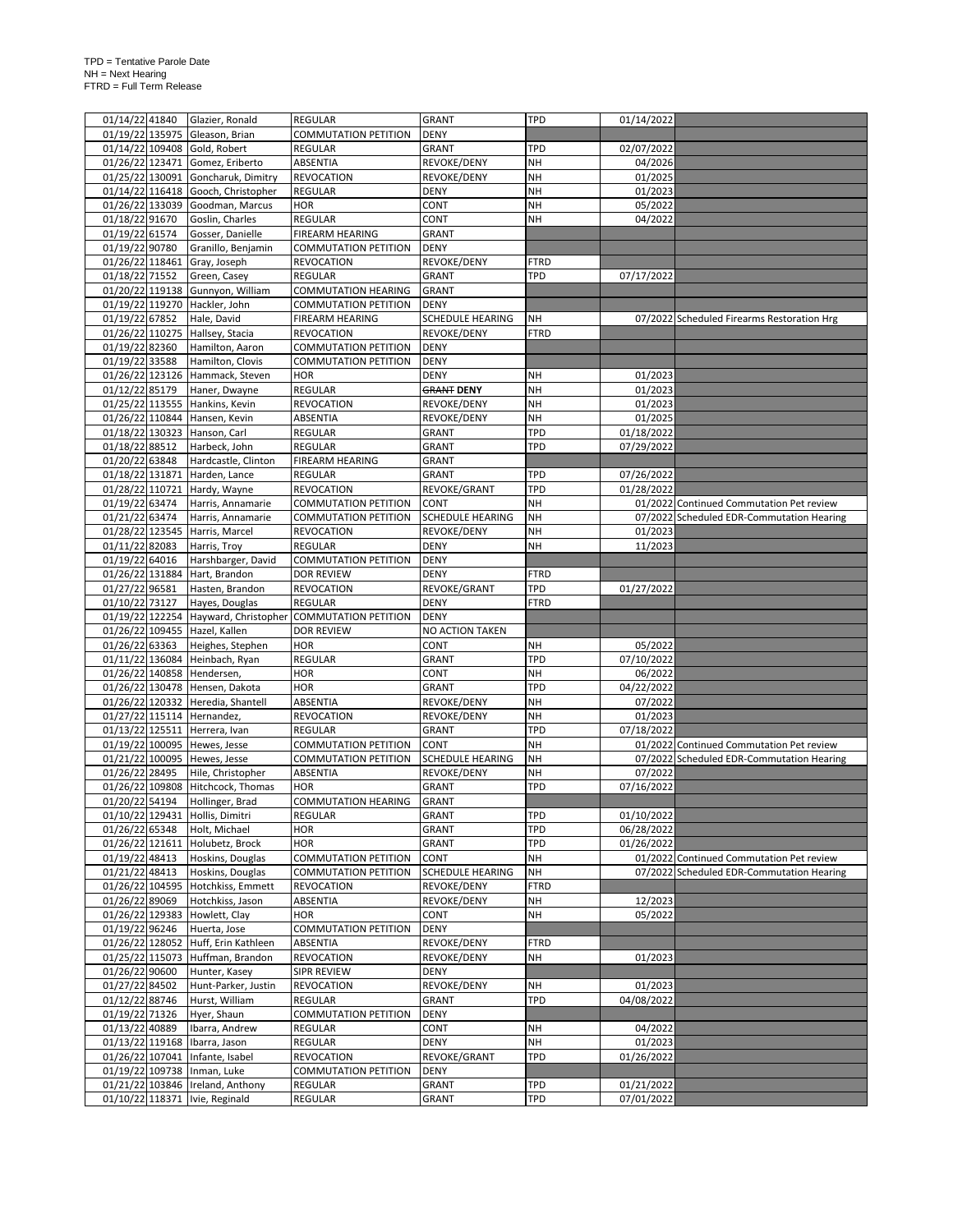|                 | 01/14/22 41840 | Glazier, Ronald                                                    | <b>REGULAR</b>                   | <b>GRANT</b>            | <b>TPD</b>        | 01/14/2022               |                                            |
|-----------------|----------------|--------------------------------------------------------------------|----------------------------------|-------------------------|-------------------|--------------------------|--------------------------------------------|
|                 |                | 01/19/22 135975 Gleason, Brian                                     | <b>COMMUTATION PETITION</b>      | <b>DENY</b>             |                   |                          |                                            |
|                 |                | 01/14/22 109408 Gold, Robert                                       | REGULAR                          | GRANT                   | <b>TPD</b>        | 02/07/2022               |                                            |
|                 |                | 01/26/22 123471 Gomez, Eriberto                                    | ABSENTIA                         | REVOKE/DENY             | <b>NH</b>         | 04/2026                  |                                            |
|                 |                |                                                                    |                                  |                         |                   |                          |                                            |
| 01/25/22 130091 |                | Goncharuk, Dimitry                                                 | <b>REVOCATION</b>                | REVOKE/DENY             | <b>NH</b>         | 01/2025                  |                                            |
| 01/14/22 116418 |                | Gooch, Christopher                                                 | <b>REGULAR</b>                   | <b>DENY</b>             | <b>NH</b>         | 01/2023                  |                                            |
| 01/26/22 133039 |                | Goodman, Marcus                                                    | <b>HOR</b>                       | CONT                    | <b>NH</b>         | 05/2022                  |                                            |
| 01/18/22 91670  |                | Goslin, Charles                                                    | <b>REGULAR</b>                   | CONT                    | <b>NH</b>         | 04/2022                  |                                            |
| 01/19/22 61574  |                | Gosser, Danielle                                                   | FIREARM HEARING                  | GRANT                   |                   |                          |                                            |
| 01/19/22 90780  |                | Granillo, Benjamin                                                 | <b>COMMUTATION PETITION</b>      | <b>DENY</b>             |                   |                          |                                            |
| 01/26/22 118461 |                | Gray, Joseph                                                       | <b>REVOCATION</b>                | REVOKE/DENY             | FTRD              |                          |                                            |
| 01/18/22 71552  |                | Green, Casey                                                       | <b>REGULAR</b>                   | GRANT                   | TPD               | 07/17/2022               |                                            |
|                 |                | 01/20/22 119138 Gunnyon, William                                   | <b>COMMUTATION HEARING</b>       | <b>GRANT</b>            |                   |                          |                                            |
|                 |                | 01/19/22 119270 Hackler, John                                      |                                  |                         |                   |                          |                                            |
|                 |                |                                                                    | <b>COMMUTATION PETITION</b>      | <b>DENY</b>             |                   |                          |                                            |
| 01/19/22 67852  |                | Hale, David                                                        | <b>FIREARM HEARING</b>           | <b>SCHEDULE HEARING</b> | NΗ                |                          | 07/2022 Scheduled Firearms Restoration Hrg |
|                 |                | 01/26/22 110275 Hallsey, Stacia                                    | <b>REVOCATION</b>                | REVOKE/DENY             | <b>FTRD</b>       |                          |                                            |
| 01/19/22 82360  |                | Hamilton, Aaron                                                    | <b>COMMUTATION PETITION</b>      | <b>DENY</b>             |                   |                          |                                            |
| 01/19/22 33588  |                | Hamilton, Clovis                                                   | <b>COMMUTATION PETITION</b>      | <b>DENY</b>             |                   |                          |                                            |
|                 |                | 01/26/22 123126 Hammack, Steven                                    | <b>HOR</b>                       | <b>DENY</b>             | NΗ                | 01/2023                  |                                            |
| 01/12/22 85179  |                | Haner, Dwayne                                                      | <b>REGULAR</b>                   | <b>GRANT DENY</b>       | NH                | 01/2023                  |                                            |
|                 |                | 01/25/22 113555 Hankins, Kevin                                     | <b>REVOCATION</b>                | <b>REVOKE/DENY</b>      | <b>NH</b>         | 01/2023                  |                                            |
|                 |                | 01/26/22 110844 Hansen, Kevin                                      | ABSENTIA                         | REVOKE/DENY             | NΗ                | 01/2025                  |                                            |
|                 |                |                                                                    |                                  |                         |                   |                          |                                            |
|                 |                | 01/18/22 130323 Hanson, Carl                                       | <b>REGULAR</b>                   | GRANT                   | TPD               | 01/18/2022               |                                            |
| 01/18/22 88512  |                | Harbeck, John                                                      | <b>REGULAR</b>                   | GRANT                   | TPD               | 07/29/2022               |                                            |
| 01/20/22 63848  |                | Hardcastle, Clinton                                                | <b>FIREARM HEARING</b>           | GRANT                   |                   |                          |                                            |
| 01/18/22 131871 |                | Harden, Lance                                                      | <b>REGULAR</b>                   | GRANT                   | TPD               | 07/26/2022               |                                            |
| 01/28/22 110721 |                | Hardy, Wayne                                                       | <b>REVOCATION</b>                | REVOKE/GRANT            | <b>TPD</b>        | 01/28/2022               |                                            |
| 01/19/22 63474  |                | Harris, Annamarie                                                  | <b>COMMUTATION PETITION</b>      | CONT                    | <b>NH</b>         |                          | 01/2022 Continued Commutation Pet review   |
| 01/21/22 63474  |                | Harris, Annamarie                                                  | <b>COMMUTATION PETITION</b>      | <b>SCHEDULE HEARING</b> | <b>NH</b>         |                          | 07/2022 Scheduled EDR-Commutation Hearing  |
| 01/28/22 123545 |                | Harris, Marcel                                                     | <b>REVOCATION</b>                | REVOKE/DENY             | NΗ                | 01/2023                  |                                            |
| 01/11/22 82083  |                | Harris, Troy                                                       | <b>REGULAR</b>                   | <b>DENY</b>             | <b>NH</b>         | 11/2023                  |                                            |
|                 |                |                                                                    |                                  |                         |                   |                          |                                            |
| 01/19/22 64016  |                | Harshbarger, David                                                 | <b>COMMUTATION PETITION</b>      | <b>DENY</b>             |                   |                          |                                            |
|                 |                | 01/26/22 131884 Hart, Brandon                                      | <b>DOR REVIEW</b>                | <b>DENY</b>             | <b>FTRD</b>       |                          |                                            |
| 01/27/22 96581  |                | Hasten, Brandon                                                    | <b>REVOCATION</b>                | REVOKE/GRANT            | TPD               | 01/27/2022               |                                            |
| 01/10/22 73127  |                | Hayes, Douglas                                                     | <b>REGULAR</b>                   | <b>DENY</b>             | <b>FTRD</b>       |                          |                                            |
|                 |                | 01/19/22 122254 Hayward, Christopher                               | <b>COMMUTATION PETITION</b>      | <b>DENY</b>             |                   |                          |                                            |
|                 |                | 01/26/22 109455 Hazel, Kallen                                      | <b>DOR REVIEW</b>                | NO ACTION TAKEN         |                   |                          |                                            |
| 01/26/22 63363  |                |                                                                    |                                  |                         |                   |                          |                                            |
|                 |                |                                                                    |                                  |                         |                   |                          |                                            |
|                 |                | Heighes, Stephen                                                   | <b>HOR</b>                       | CONT                    | NΗ                | 05/2022                  |                                            |
|                 |                | 01/11/22 136084 Heinbach, Ryan                                     | REGULAR                          | GRANT                   | TPD               | 07/10/2022               |                                            |
|                 |                | 01/26/22 140858 Hendersen,                                         | <b>HOR</b>                       | CONT                    | <b>NH</b>         | 06/2022                  |                                            |
|                 |                | 01/26/22 130478 Hensen, Dakota                                     | <b>HOR</b>                       | GRANT                   | TPD               | 04/22/2022               |                                            |
|                 |                | 01/26/22 120332 Heredia, Shantell                                  | ABSENTIA                         | REVOKE/DENY             | NH                | 07/2022                  |                                            |
|                 |                | 01/27/22 115114 Hernandez,                                         | <b>REVOCATION</b>                | REVOKE/DENY             | NΗ                | 01/2023                  |                                            |
|                 |                | 01/13/22 125511 Herrera, Ivan                                      | <b>REGULAR</b>                   | <b>GRANT</b>            | <b>TPD</b>        | 07/18/2022               |                                            |
|                 |                | 01/19/22 100095 Hewes, Jesse                                       | <b>COMMUTATION PETITION</b>      | <b>CONT</b>             | <b>NH</b>         |                          | 01/2022 Continued Commutation Pet review   |
|                 |                |                                                                    | <b>COMMUTATION PETITION</b>      | <b>SCHEDULE HEARING</b> | NH                |                          | 07/2022 Scheduled EDR-Commutation Hearing  |
|                 |                | 01/21/22 100095 Hewes, Jesse                                       |                                  |                         |                   |                          |                                            |
| 01/26/22 28495  |                | Hile, Christopher                                                  | ABSENTIA                         | REVOKE/DENY             | NH                | 07/2022                  |                                            |
|                 |                | 01/26/22 109808 Hitchcock, Thomas                                  | <b>HOR</b>                       | <b>GRANT</b>            | TPD               | 07/16/2022               |                                            |
| 01/20/22 54194  |                | Hollinger, Brad                                                    | <b>COMMUTATION HEARING</b>       | <b>GRANT</b>            |                   |                          |                                            |
|                 |                | 01/10/22 129431 Hollis, Dimitri                                    | <b>REGULAR</b>                   | <b>GRANT</b>            | <b>TPD</b>        | 01/10/2022               |                                            |
| 01/26/22 65348  |                | Holt, Michael                                                      | <b>HOR</b>                       | GRANT                   | TPD               | 06/28/2022               |                                            |
| 01/26/22 121611 |                | Holubetz, Brock                                                    | <b>HOR</b>                       | <b>GRANT</b>            | TPD               | 01/26/2022               |                                            |
| 01/19/22 48413  |                | Hoskins, Douglas                                                   | <b>COMMUTATION PETITION</b>      | <b>CONT</b>             | NH                |                          | 01/2022 Continued Commutation Pet review   |
| 01/21/22 48413  |                | Hoskins, Douglas                                                   | <b>COMMUTATION PETITION</b>      | <b>SCHEDULE HEARING</b> | <b>NH</b>         |                          | 07/2022 Scheduled EDR-Commutation Hearing  |
| 01/26/22 104595 |                | Hotchkiss, Emmett                                                  | <b>REVOCATION</b>                | REVOKE/DENY             | <b>FTRD</b>       |                          |                                            |
| 01/26/22 89069  |                | Hotchkiss, Jason                                                   |                                  |                         | NΗ                | 12/2023                  |                                            |
|                 |                |                                                                    | ABSENTIA                         | REVOKE/DENY             |                   |                          |                                            |
| 01/26/22 129383 |                | Howlett, Clay                                                      | <b>HOR</b>                       | CONT                    | NH                | 05/2022                  |                                            |
| 01/19/22 96246  |                | Huerta, Jose                                                       | <b>COMMUTATION PETITION</b>      | <b>DENY</b>             |                   |                          |                                            |
| 01/26/22 128052 |                | Huff, Erin Kathleen                                                | ABSENTIA                         | REVOKE/DENY             | FTRD              |                          |                                            |
| 01/25/22 115073 |                | Huffman, Brandon                                                   | <b>REVOCATION</b>                | REVOKE/DENY             | NΗ                | 01/2023                  |                                            |
| 01/26/22 90600  |                | Hunter, Kasey                                                      | <b>SIPR REVIEW</b>               | <b>DENY</b>             |                   |                          |                                            |
| 01/27/22 84502  |                | Hunt-Parker, Justin                                                | <b>REVOCATION</b>                | REVOKE/DENY             | NΗ                | 01/2023                  |                                            |
| 01/12/22 88746  |                | Hurst, William                                                     | REGULAR                          | <b>GRANT</b>            | TPD               | 04/08/2022               |                                            |
|                 |                |                                                                    |                                  | <b>DENY</b>             |                   |                          |                                            |
| 01/19/22 71326  |                | Hyer, Shaun                                                        | <b>COMMUTATION PETITION</b>      |                         |                   |                          |                                            |
| 01/13/22 40889  |                | Ibarra, Andrew                                                     | REGULAR                          | CONT                    | NΗ                | 04/2022                  |                                            |
| 01/13/22 119168 |                | Ibarra, Jason                                                      | REGULAR                          | DENY                    | NΗ                | 01/2023                  |                                            |
|                 |                | 01/26/22 107041 Infante, Isabel                                    | <b>REVOCATION</b>                | REVOKE/GRANT            | <b>TPD</b>        | 01/26/2022               |                                            |
|                 |                | 01/19/22 109738 Inman, Luke                                        | <b>COMMUTATION PETITION</b>      | <b>DENY</b>             |                   |                          |                                            |
|                 |                | 01/21/22 103846 Ireland, Anthony<br>01/10/22 118371 Ivie, Reginald | <b>REGULAR</b><br><b>REGULAR</b> | <b>GRANT</b><br>GRANT   | TPD<br><b>TPD</b> | 01/21/2022<br>07/01/2022 |                                            |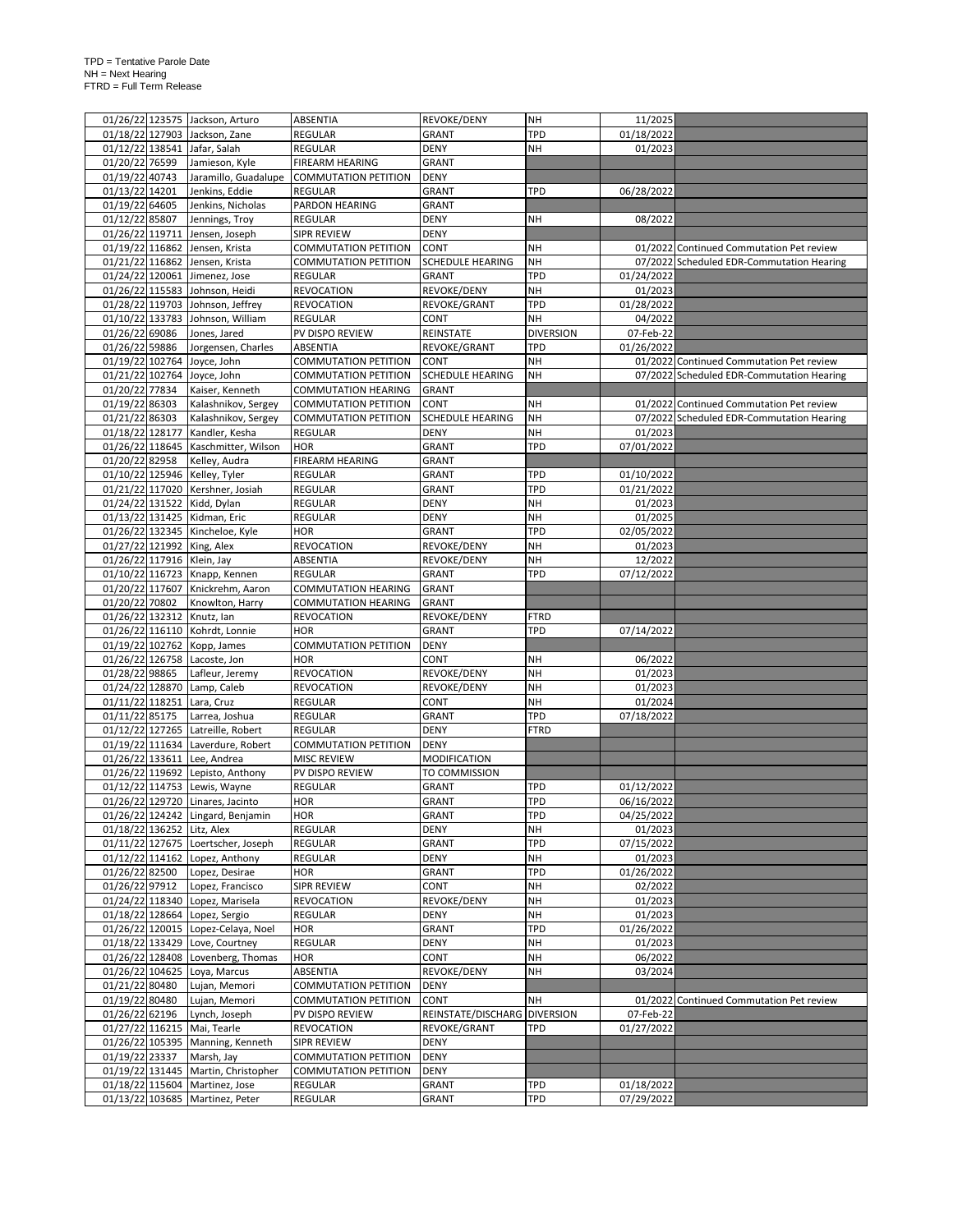|                            | 01/26/22 123575 Jackson, Arturo                                   | ABSENTIA                    | <b>REVOKE/DENY</b>           | <b>NH</b>        | 11/2025                  |                                           |
|----------------------------|-------------------------------------------------------------------|-----------------------------|------------------------------|------------------|--------------------------|-------------------------------------------|
|                            | 01/18/22 127903 Jackson, Zane                                     | <b>REGULAR</b>              | GRANT                        | TPD              | 01/18/2022               |                                           |
| 01/12/22 138541            | Jafar, Salah                                                      | REGULAR                     | <b>DENY</b>                  | NΗ               | 01/2023                  |                                           |
| 01/20/22 76599             | Jamieson, Kyle                                                    | FIREARM HEARING             | <b>GRANT</b>                 |                  |                          |                                           |
| 01/19/22 40743             | Jaramillo, Guadalupe                                              | <b>COMMUTATION PETITION</b> | <b>DENY</b>                  |                  |                          |                                           |
| 01/13/22 14201             | Jenkins, Eddie                                                    | REGULAR                     | GRANT                        | TPD              | 06/28/2022               |                                           |
| 01/19/22 64605             | Jenkins, Nicholas                                                 | PARDON HEARING              | GRANT                        |                  |                          |                                           |
| 01/12/22 85807             | Jennings, Troy                                                    | <b>REGULAR</b>              | <b>DENY</b>                  | NΗ               | 08/2022                  |                                           |
| 01/26/22 119711            | Jensen, Joseph                                                    | <b>SIPR REVIEW</b>          | <b>DENY</b>                  |                  |                          |                                           |
|                            | 01/19/22 116862 Jensen, Krista                                    | <b>COMMUTATION PETITION</b> | CONT                         | NΗ               |                          | 01/2022 Continued Commutation Pet review  |
|                            | 01/21/22 116862 Jensen, Krista                                    | <b>COMMUTATION PETITION</b> | <b>SCHEDULE HEARING</b>      | <b>NH</b>        |                          | 07/2022 Scheduled EDR-Commutation Hearing |
|                            | 01/24/22 120061 Jimenez, Jose                                     | <b>REGULAR</b>              | GRANT                        | TPD              | 01/24/2022               |                                           |
|                            | 01/26/22 115583 Johnson, Heidi                                    | <b>REVOCATION</b>           | REVOKE/DENY                  | <b>NH</b>        | 01/2023                  |                                           |
|                            | 01/28/22 119703 Johnson, Jeffrey                                  | <b>REVOCATION</b>           | REVOKE/GRANT                 | TPD              | 01/28/2022               |                                           |
|                            | 01/10/22 133783 Johnson, William                                  | <b>REGULAR</b>              | <b>CONT</b>                  | NΗ               | 04/2022                  |                                           |
| 01/26/22 69086             | Jones, Jared                                                      | PV DISPO REVIEW             | REINSTATE                    | <b>DIVERSION</b> | 07-Feb-22                |                                           |
| 01/26/22 59886             | Jorgensen, Charles                                                | ABSENTIA                    | REVOKE/GRANT                 | TPD              | 01/26/2022               |                                           |
| 01/19/22 102764            | Joyce, John                                                       | <b>COMMUTATION PETITION</b> | <b>CONT</b>                  | <b>NH</b>        |                          | 01/2022 Continued Commutation Pet review  |
| 01/21/22 102764            | Joyce, John                                                       | <b>COMMUTATION PETITION</b> | <b>SCHEDULE HEARING</b>      | NH               |                          | 07/2022 Scheduled EDR-Commutation Hearing |
| 01/20/22 77834             | Kaiser, Kenneth                                                   | <b>COMMUTATION HEARING</b>  | <b>GRANT</b>                 |                  |                          |                                           |
| 01/19/22 86303             | Kalashnikov, Sergey                                               | <b>COMMUTATION PETITION</b> | <b>CONT</b>                  | NΗ               |                          | 01/2022 Continued Commutation Pet review  |
| 01/21/22 86303             | Kalashnikov, Sergey                                               | <b>COMMUTATION PETITION</b> | <b>SCHEDULE HEARING</b>      | NΗ               |                          | 07/2022 Scheduled EDR-Commutation Hearing |
| 01/18/22 128177            | Kandler, Kesha                                                    | <b>REGULAR</b>              | <b>DENY</b>                  | <b>NH</b>        | 01/2023                  |                                           |
|                            | 01/26/22 118645 Kaschmitter, Wilson                               | <b>HOR</b>                  | GRANT                        | TPD              | 07/01/2022               |                                           |
| 01/20/22 82958             | Kelley, Audra                                                     | FIREARM HEARING             | GRANT                        |                  |                          |                                           |
| 01/10/22 125946            | Kelley, Tyler                                                     | <b>REGULAR</b>              | GRANT                        | TPD              | 01/10/2022               |                                           |
|                            | 01/21/22 117020 Kershner, Josiah                                  | REGULAR                     | GRANT                        | TPD              | 01/21/2022               |                                           |
|                            | 01/24/22 131522 Kidd, Dylan                                       | <b>REGULAR</b>              | <b>DENY</b>                  | NΗ               | 01/2023                  |                                           |
|                            | 01/13/22 131425 Kidman, Eric                                      | REGULAR                     | <b>DENY</b>                  | NH               | 01/2025                  |                                           |
|                            | 01/26/22 132345 Kincheloe, Kyle                                   | <b>HOR</b>                  | GRANT                        | TPD              | 02/05/2022               |                                           |
|                            | 01/27/22 121992 King, Alex                                        | <b>REVOCATION</b>           | REVOKE/DENY                  | <b>NH</b>        | 01/2023                  |                                           |
| 01/26/22 117916 Klein, Jay |                                                                   | <b>ABSENTIA</b>             | REVOKE/DENY                  | NH               | 12/2022                  |                                           |
|                            | 01/10/22 116723 Knapp, Kennen                                     | <b>REGULAR</b>              | GRANT                        | TPD              | 07/12/2022               |                                           |
|                            | 01/20/22 117607 Knickrehm, Aaron                                  | <b>COMMUTATION HEARING</b>  | <b>GRANT</b>                 |                  |                          |                                           |
| 01/20/22 70802             | Knowlton, Harry                                                   | <b>COMMUTATION HEARING</b>  | <b>GRANT</b>                 |                  |                          |                                           |
| 01/26/22 132312            | Knutz, lan                                                        | <b>REVOCATION</b>           | REVOKE/DENY                  | FTRD             |                          |                                           |
|                            | 01/26/22 116110 Kohrdt, Lonnie                                    | <b>HOR</b>                  | <b>GRANT</b>                 | <b>TPD</b>       | 07/14/2022               |                                           |
|                            |                                                                   |                             |                              |                  |                          |                                           |
|                            |                                                                   |                             |                              |                  |                          |                                           |
|                            | 01/19/22 102762 Kopp, James                                       | <b>COMMUTATION PETITION</b> | <b>DENY</b>                  |                  |                          |                                           |
| 01/26/22 126758            | Lacoste, Jon                                                      | <b>HOR</b>                  | CONT                         | NΗ               | 06/2022                  |                                           |
| 01/28/22 98865             | Lafleur, Jeremy                                                   | <b>REVOCATION</b>           | REVOKE/DENY                  | NΗ               | 01/2023                  |                                           |
|                            | 01/24/22 128870 Lamp, Caleb                                       | <b>REVOCATION</b>           | REVOKE/DENY                  | NΗ               | 01/2023                  |                                           |
| 01/11/22 118251            | Lara, Cruz                                                        | REGULAR                     | CONT                         | <b>NH</b>        | 01/2024                  |                                           |
| 01/11/22 85175             | Larrea, Joshua                                                    | REGULAR                     | GRANT                        | TPD              | 07/18/2022               |                                           |
|                            | 01/12/22 127265 Latreille, Robert                                 | REGULAR                     | <b>DENY</b>                  | <b>FTRD</b>      |                          |                                           |
| 01/19/22 111634            | Laverdure, Robert                                                 | <b>COMMUTATION PETITION</b> | <b>DENY</b>                  |                  |                          |                                           |
| 01/26/22 133611            | Lee, Andrea                                                       | <b>MISC REVIEW</b>          | <b>MODIFICATION</b>          |                  |                          |                                           |
| 01/26/22 119692            | Lepisto, Anthony                                                  | PV DISPO REVIEW             | TO COMMISSION                |                  |                          |                                           |
|                            | 01/12/22 114753 Lewis, Wayne                                      | REGULAR                     | <b>GRANT</b>                 | TPD              | 01/12/2022               |                                           |
|                            | 01/26/22 129720 Linares, Jacinto                                  | <b>HOR</b>                  | <b>GRANT</b>                 | TPD              | 06/16/2022               |                                           |
|                            | 01/26/22 124242 Lingard, Benjamin                                 | HOR                         | <b>GRANT</b>                 | <b>TPD</b>       | 04/25/2022               |                                           |
| 01/18/22 136252 Litz, Alex | 01/11/22 127675 Loertscher, Joseph                                | REGULAR<br><b>REGULAR</b>   | <b>DENY</b>                  | NH               | 01/2023                  |                                           |
|                            |                                                                   |                             | GRANT                        | TPD              | 07/15/2022               |                                           |
|                            | 01/12/22 114162 Lopez, Anthony                                    | <b>REGULAR</b>              | <b>DENY</b>                  | NH               | 01/2023                  |                                           |
| 01/26/22 82500             | Lopez, Desirae                                                    | <b>HOR</b>                  | GRANT                        | TPD              | 01/26/2022               |                                           |
| 01/26/22 97912             | Lopez, Francisco                                                  | <b>SIPR REVIEW</b>          | CONT                         | NH               | 02/2022                  |                                           |
|                            | 01/24/22 118340 Lopez, Marisela                                   | <b>REVOCATION</b>           | REVOKE/DENY                  | NΗ               | 01/2023                  |                                           |
| 01/18/22 128664            | Lopez, Sergio                                                     | REGULAR                     | <b>DENY</b>                  | NΗ<br>TPD        | 01/2023                  |                                           |
| 01/26/22 120015            | Lopez-Celaya, Noel                                                | HOR<br><b>REGULAR</b>       | GRANT                        |                  | 01/26/2022               |                                           |
| 01/18/22 133429            | Love, Courtney                                                    |                             | <b>DENY</b>                  | NH               | 01/2023                  |                                           |
|                            | 01/26/22 128408 Lovenberg, Thomas                                 | <b>HOR</b>                  | CONT                         | <b>NH</b>        | 06/2022                  |                                           |
| 01/26/22 104625            | Loya, Marcus                                                      | ABSENTIA                    | REVOKE/DENY                  | NH               | 03/2024                  |                                           |
| 01/21/22 80480             | Lujan, Memori                                                     | <b>COMMUTATION PETITION</b> | <b>DENY</b>                  |                  |                          |                                           |
| 01/19/22 80480             | Lujan, Memori                                                     | <b>COMMUTATION PETITION</b> | CONT                         | NΗ               |                          | 01/2022 Continued Commutation Pet review  |
| 01/26/22 62196             | Lynch, Joseph                                                     | PV DISPO REVIEW             | REINSTATE/DISCHARG DIVERSION |                  | 07-Feb-22                |                                           |
|                            | 01/27/22 116215 Mai, Tearle                                       | <b>REVOCATION</b>           | REVOKE/GRANT                 | TPD              | 01/27/2022               |                                           |
| 01/26/22 105395            | Manning, Kenneth                                                  | SIPR REVIEW                 | <b>DENY</b>                  |                  |                          |                                           |
| 01/19/22 23337             | Marsh, Jay                                                        | <b>COMMUTATION PETITION</b> | <b>DENY</b>                  |                  |                          |                                           |
|                            | 01/19/22 131445 Martin, Christopher                               | <b>COMMUTATION PETITION</b> | <b>DENY</b>                  |                  |                          |                                           |
|                            | 01/18/22 115604 Martinez, Jose<br>01/13/22 103685 Martinez, Peter | <b>REGULAR</b><br>REGULAR   | <b>GRANT</b><br>GRANT        | TPD<br>TPD       | 01/18/2022<br>07/29/2022 |                                           |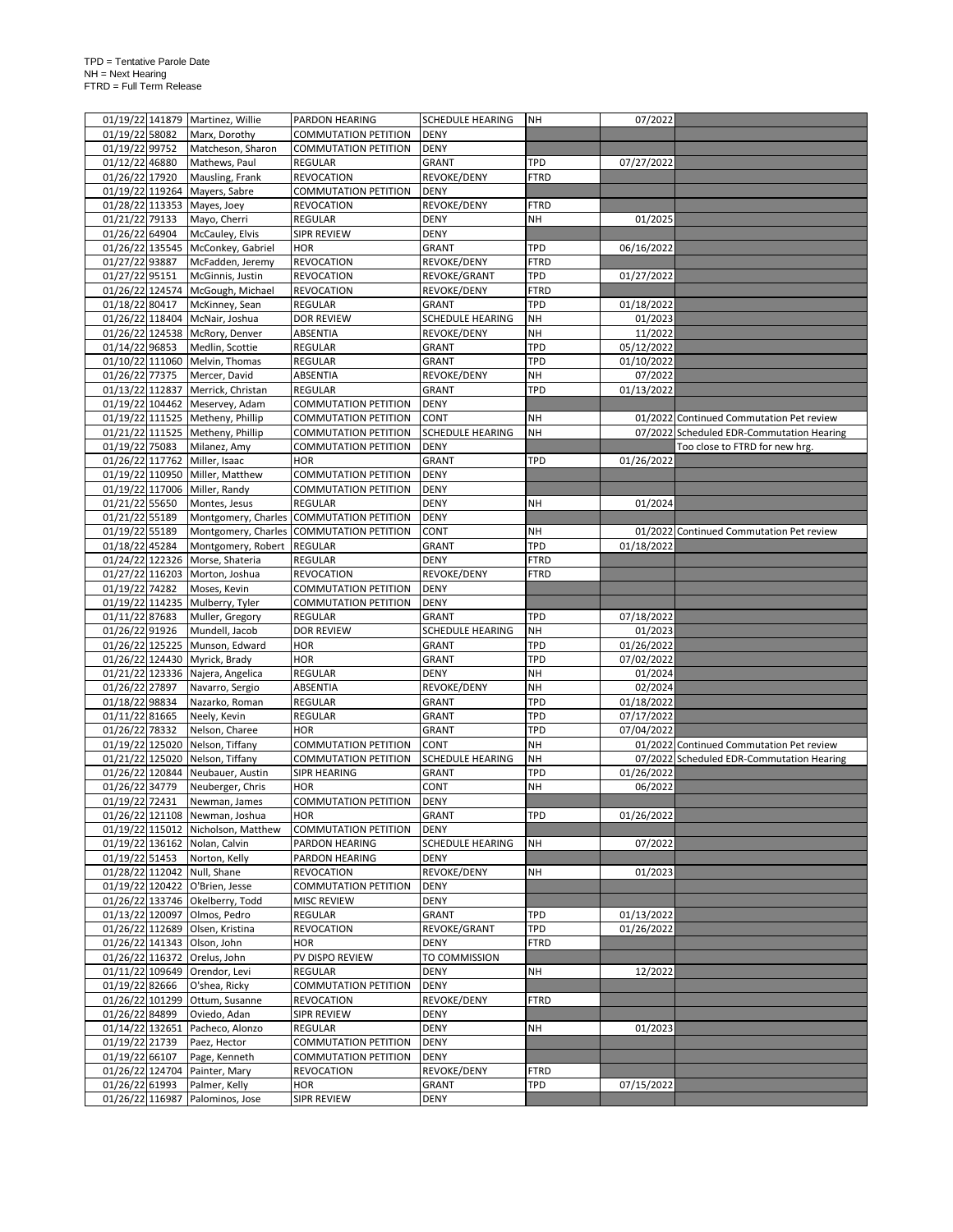|                 | 01/19/22 141879 Martinez, Willie   | PARDON HEARING                           | <b>SCHEDULE HEARING</b> | <b>NH</b>   | 07/2022    |                                           |
|-----------------|------------------------------------|------------------------------------------|-------------------------|-------------|------------|-------------------------------------------|
| 01/19/22 58082  |                                    | COMMUTATION PETITION                     | <b>DENY</b>             |             |            |                                           |
|                 | Marx, Dorothy                      |                                          |                         |             |            |                                           |
| 01/19/22 99752  | Matcheson, Sharon                  | <b>COMMUTATION PETITION</b>              | <b>DENY</b>             |             |            |                                           |
| 01/12/22 46880  | Mathews, Paul                      | REGULAR                                  | GRANT                   | <b>TPD</b>  | 07/27/2022 |                                           |
| 01/26/22 17920  | Mausling, Frank                    | <b>REVOCATION</b>                        | REVOKE/DENY             | <b>FTRD</b> |            |                                           |
| 01/19/22 119264 | Mayers, Sabre                      | <b>COMMUTATION PETITION</b>              | <b>DENY</b>             |             |            |                                           |
|                 | 01/28/22 113353 Mayes, Joey        | <b>REVOCATION</b>                        | REVOKE/DENY             | <b>FTRD</b> |            |                                           |
| 01/21/22 79133  |                                    | <b>REGULAR</b>                           | <b>DENY</b>             | <b>NH</b>   | 01/2025    |                                           |
|                 | Mayo, Cherri                       |                                          |                         |             |            |                                           |
| 01/26/22 64904  | McCauley, Elvis                    | <b>SIPR REVIEW</b>                       | <b>DENY</b>             |             |            |                                           |
|                 | 01/26/22 135545 McConkey, Gabriel  | <b>HOR</b>                               | GRANT                   | <b>TPD</b>  | 06/16/2022 |                                           |
| 01/27/22 93887  | McFadden, Jeremy                   | <b>REVOCATION</b>                        | REVOKE/DENY             | <b>FTRD</b> |            |                                           |
| 01/27/22 95151  | McGinnis, Justin                   | <b>REVOCATION</b>                        | REVOKE/GRANT            | TPD         | 01/27/2022 |                                           |
|                 | 01/26/22 124574 McGough, Michael   | <b>REVOCATION</b>                        | REVOKE/DENY             | <b>FTRD</b> |            |                                           |
|                 |                                    |                                          |                         |             |            |                                           |
| 01/18/22 80417  | McKinney, Sean                     | REGULAR                                  | GRANT                   | TPD         | 01/18/2022 |                                           |
|                 | 01/26/22 118404 McNair, Joshua     | <b>DOR REVIEW</b>                        | SCHEDULE HEARING        | <b>NH</b>   | 01/2023    |                                           |
|                 | 01/26/22 124538 McRory, Denver     | ABSENTIA                                 | REVOKE/DENY             | <b>NH</b>   | 11/2022    |                                           |
| 01/14/22 96853  | Medlin, Scottie                    | <b>REGULAR</b>                           | GRANT                   | TPD         | 05/12/2022 |                                           |
|                 | 01/10/22 111060 Melvin, Thomas     | <b>REGULAR</b>                           | GRANT                   | <b>TPD</b>  | 01/10/2022 |                                           |
|                 |                                    |                                          |                         |             |            |                                           |
| 01/26/22 77375  | Mercer, David                      | ABSENTIA                                 | REVOKE/DENY             | NH          | 07/2022    |                                           |
| 01/13/22 112837 | Merrick, Christan                  | <b>REGULAR</b>                           | GRANT                   | <b>TPD</b>  | 01/13/2022 |                                           |
|                 | 01/19/22 104462 Meservey, Adam     | <b>COMMUTATION PETITION</b>              | <b>DENY</b>             |             |            |                                           |
|                 | 01/19/22 111525 Metheny, Phillip   | <b>COMMUTATION PETITION</b>              | <b>CONT</b>             | NH          |            | 01/2022 Continued Commutation Pet review  |
|                 | 01/21/22 111525 Metheny, Phillip   | <b>COMMUTATION PETITION</b>              | <b>SCHEDULE HEARING</b> | <b>NH</b>   |            | 07/2022 Scheduled EDR-Commutation Hearing |
|                 |                                    |                                          |                         |             |            |                                           |
| 01/19/22 75083  | Milanez, Amy                       | <b>COMMUTATION PETITION</b>              | <b>DENY</b>             |             |            | Too close to FTRD for new hrg.            |
|                 | 01/26/22 117762 Miller, Isaac      | <b>HOR</b>                               | GRANT                   | <b>TPD</b>  | 01/26/2022 |                                           |
|                 | 01/19/22 110950 Miller, Matthew    | <b>COMMUTATION PETITION</b>              | <b>DENY</b>             |             |            |                                           |
|                 | 01/19/22 117006 Miller, Randy      | COMMUTATION PETITION                     | <b>DENY</b>             |             |            |                                           |
| 01/21/22 55650  | Montes, Jesus                      | <b>REGULAR</b>                           | DENY                    | <b>NH</b>   | 01/2024    |                                           |
|                 |                                    |                                          |                         |             |            |                                           |
| 01/21/22 55189  |                                    | Montgomery, Charles COMMUTATION PETITION | <b>DENY</b>             |             |            |                                           |
| 01/19/22 55189  |                                    | Montgomery, Charles COMMUTATION PETITION | CONT                    | NH          |            | 01/2022 Continued Commutation Pet review  |
| 01/18/22 45284  | Montgomery, Robert                 | <b>REGULAR</b>                           | <b>GRANT</b>            | TPD         | 01/18/2022 |                                           |
|                 | 01/24/22 122326 Morse, Shateria    | <b>REGULAR</b>                           | <b>DENY</b>             | <b>FTRD</b> |            |                                           |
|                 |                                    |                                          |                         |             |            |                                           |
|                 | 01/27/22 116203 Morton, Joshua     | <b>REVOCATION</b>                        | REVOKE/DENY             | <b>FTRD</b> |            |                                           |
| 01/19/22 74282  | Moses, Kevin                       | <b>COMMUTATION PETITION</b>              | <b>DENY</b>             |             |            |                                           |
|                 | 01/19/22 114235 Mulberry, Tyler    | <b>COMMUTATION PETITION</b>              | <b>DENY</b>             |             |            |                                           |
| 01/11/22 87683  | Muller, Gregory                    | <b>REGULAR</b>                           | GRANT                   | <b>TPD</b>  | 07/18/2022 |                                           |
| 01/26/22 91926  | Mundell, Jacob                     | <b>DOR REVIEW</b>                        | SCHEDULE HEARING        | NH          | 01/2023    |                                           |
|                 |                                    |                                          |                         |             |            |                                           |
|                 | 01/26/22 125225 Munson, Edward     | <b>HOR</b>                               | GRANT                   | TPD         | 01/26/2022 |                                           |
|                 | 01/26/22 124430 Myrick, Brady      | <b>HOR</b>                               | GRANT                   | <b>TPD</b>  | 07/02/2022 |                                           |
|                 | 01/21/22 123336 Najera, Angelica   | REGULAR                                  | DENY                    | <b>NH</b>   | 01/2024    |                                           |
| 01/26/22 27897  | Navarro, Sergio                    | ABSENTIA                                 | REVOKE/DENY             | <b>NH</b>   | 02/2024    |                                           |
| 01/18/22 98834  | Nazarko, Roman                     | <b>REGULAR</b>                           | GRANT                   | <b>TPD</b>  | 01/18/2022 |                                           |
|                 |                                    |                                          |                         |             |            |                                           |
| 01/11/22 81665  | Neely, Kevin                       | <b>REGULAR</b>                           | GRANT                   | <b>TPD</b>  | 07/17/2022 |                                           |
| 01/26/22 78332  | Nelson, Charee                     | <b>HOR</b>                               | GRANT                   | <b>TPD</b>  | 07/04/2022 |                                           |
|                 | 01/19/22 125020 Nelson, Tiffany    | <b>COMMUTATION PETITION</b>              | CONT                    | NH          |            | 01/2022 Continued Commutation Pet review  |
| 01/21/22 125020 | Nelson, Tiffany                    | <b>COMMUTATION PETITION</b>              | SCHEDULE HEARING        | NH          |            | 07/2022 Scheduled EDR-Commutation Hearing |
|                 |                                    | SIPR HEARING                             |                         | TPD         |            |                                           |
| 01/26/22 120844 | Neubauer, Austin                   |                                          | GRANT                   |             | 01/26/2022 |                                           |
| 01/26/22 34779  | Neuberger, Chris                   | <b>HOR</b>                               | CONT                    | <b>NH</b>   | 06/2022    |                                           |
| 01/19/22 72431  | Newman, James                      | <b>COMMUTATION PETITION</b>              | <b>DENY</b>             |             |            |                                           |
|                 | 01/26/22 121108 Newman, Joshua     | <b>HOR</b>                               | <b>GRANT</b>            | <b>TPD</b>  | 01/26/2022 |                                           |
|                 | 01/19/22 115012 Nicholson, Matthew | <b>COMMUTATION PETITION</b>              | DENY                    |             |            |                                           |
|                 | 01/19/22 136162 Nolan, Calvin      | PARDON HEARING                           | <b>SCHEDULE HEARING</b> | NΗ          | 07/2022    |                                           |
|                 |                                    |                                          |                         |             |            |                                           |
| 01/19/22 51453  | Norton, Kelly                      | PARDON HEARING                           | DENY                    |             |            |                                           |
|                 | 01/28/22 112042 Null, Shane        | <b>REVOCATION</b>                        | REVOKE/DENY             | NH          | 01/2023    |                                           |
|                 | 01/19/22 120422 O'Brien, Jesse     | <b>COMMUTATION PETITION</b>              | <b>DENY</b>             |             |            |                                           |
|                 | 01/26/22 133746 Okelberry, Todd    | <b>MISC REVIEW</b>                       | DENY                    |             |            |                                           |
|                 | 01/13/22 120097 Olmos, Pedro       | <b>REGULAR</b>                           | GRANT                   | <b>TPD</b>  | 01/13/2022 |                                           |
|                 |                                    |                                          |                         |             |            |                                           |
|                 | 01/26/22 112689 Olsen, Kristina    | <b>REVOCATION</b>                        | REVOKE/GRANT            | <b>TPD</b>  | 01/26/2022 |                                           |
|                 | 01/26/22 141343 Olson, John        | <b>HOR</b>                               | DENY                    | <b>FTRD</b> |            |                                           |
|                 | 01/26/22 116372 Orelus, John       | PV DISPO REVIEW                          | TO COMMISSION           |             |            |                                           |
|                 | 01/11/22 109649 Orendor, Levi      | <b>REGULAR</b>                           | DENY                    | NH          | 12/2022    |                                           |
| 01/19/22 82666  |                                    | <b>COMMUTATION PETITION</b>              | <b>DENY</b>             |             |            |                                           |
|                 | O'shea, Ricky                      |                                          |                         |             |            |                                           |
| 01/26/22 101299 | Ottum, Susanne                     | <b>REVOCATION</b>                        | REVOKE/DENY             | <b>FTRD</b> |            |                                           |
| 01/26/22 84899  | Oviedo, Adan                       | <b>SIPR REVIEW</b>                       | DENY                    |             |            |                                           |
| 01/14/22 132651 | Pacheco, Alonzo                    | REGULAR                                  | <b>DENY</b>             | NΗ          | 01/2023    |                                           |
| 01/19/22 21739  | Paez, Hector                       | <b>COMMUTATION PETITION</b>              | <b>DENY</b>             |             |            |                                           |
|                 |                                    |                                          |                         |             |            |                                           |
| 01/19/22 66107  | Page, Kenneth                      | <b>COMMUTATION PETITION</b>              | DENY                    |             |            |                                           |
| 01/26/22 124704 | Painter, Mary                      | <b>REVOCATION</b>                        | REVOKE/DENY             | <b>FTRD</b> |            |                                           |
| 01/26/22 61993  | Palmer, Kelly                      | HOR                                      | GRANT                   | TPD         | 07/15/2022 |                                           |
|                 | 01/26/22 116987 Palominos, Jose    | SIPR REVIEW                              | DENY                    |             |            |                                           |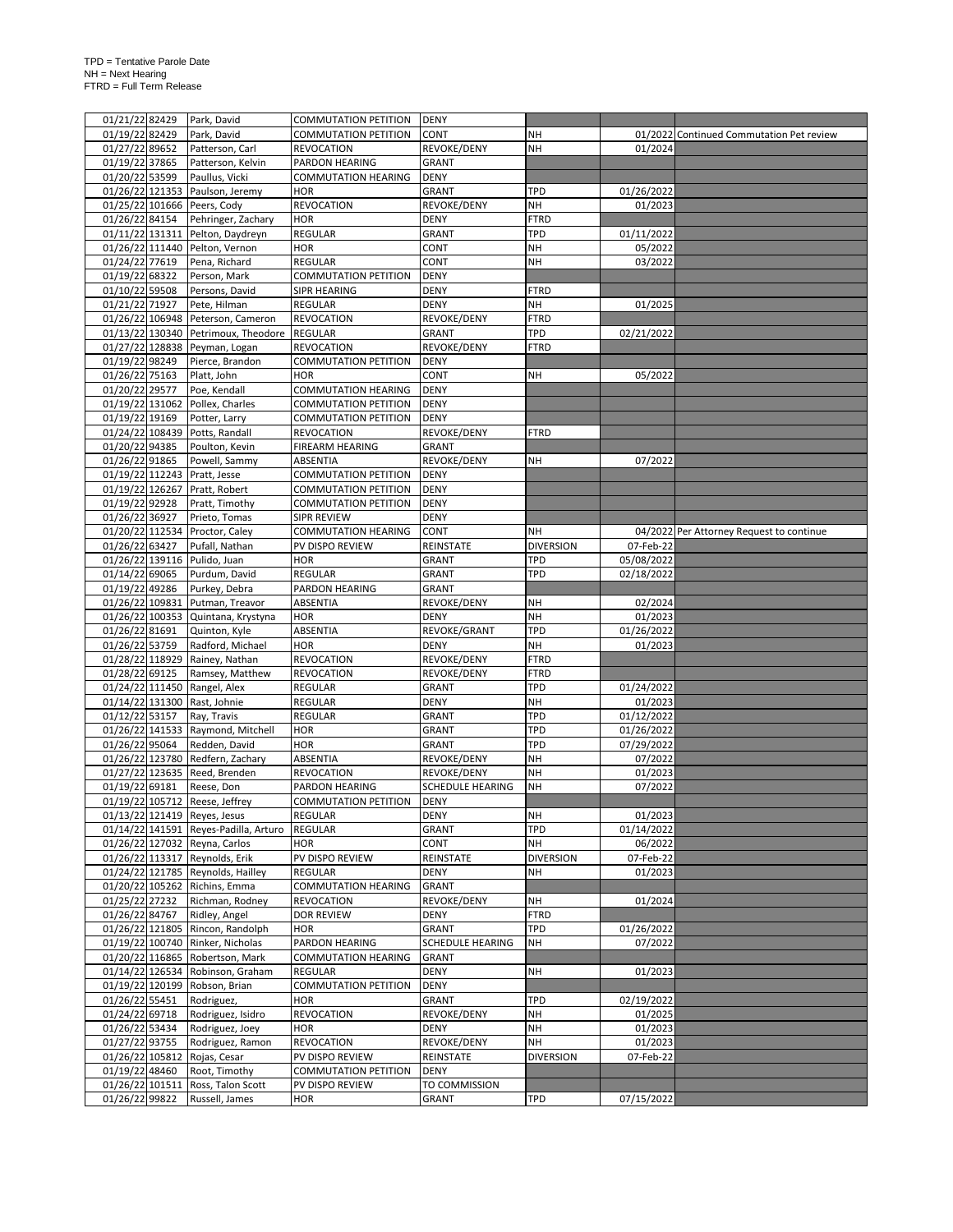|                                   | 01/21/22 82429 | Park, David                           | <b>COMMUTATION PETITION</b>   | <b>DENY</b>             |                  |            |                                          |
|-----------------------------------|----------------|---------------------------------------|-------------------------------|-------------------------|------------------|------------|------------------------------------------|
| 01/19/22 82429                    |                | Park, David                           | <b>COMMUTATION PETITION</b>   | <b>CONT</b>             | NΗ               |            | 01/2022 Continued Commutation Pet review |
|                                   |                |                                       |                               |                         |                  |            |                                          |
| 01/27/22 89652                    |                | Patterson, Carl                       | <b>REVOCATION</b>             | REVOKE/DENY             | <b>NH</b>        | 01/2024    |                                          |
| 01/19/22 37865                    |                | Patterson, Kelvin                     | PARDON HEARING                | <b>GRANT</b>            |                  |            |                                          |
| 01/20/22 53599                    |                | Paullus, Vicki                        | <b>COMMUTATION HEARING</b>    | <b>DENY</b>             |                  |            |                                          |
|                                   |                | 01/26/22 121353 Paulson, Jeremy       | <b>HOR</b>                    | GRANT                   | TPD              | 01/26/2022 |                                          |
|                                   |                | 01/25/22 101666 Peers, Cody           | <b>REVOCATION</b>             | REVOKE/DENY             | NH               | 01/2023    |                                          |
|                                   |                |                                       |                               |                         |                  |            |                                          |
| 01/26/22 84154                    |                | Pehringer, Zachary                    | <b>HOR</b>                    | DENY                    | <b>FTRD</b>      |            |                                          |
| 01/11/22 131311                   |                | Pelton, Daydreyn                      | <b>REGULAR</b>                | GRANT                   | <b>TPD</b>       | 01/11/2022 |                                          |
|                                   |                | 01/26/22 111440 Pelton, Vernon        | <b>HOR</b>                    | CONT                    | <b>NH</b>        | 05/2022    |                                          |
| 01/24/22 77619                    |                | Pena, Richard                         | <b>REGULAR</b>                | CONT                    | <b>NH</b>        | 03/2022    |                                          |
|                                   |                |                                       |                               |                         |                  |            |                                          |
| 01/19/22 68322                    |                | Person, Mark                          | <b>COMMUTATION PETITION</b>   | <b>DENY</b>             |                  |            |                                          |
| 01/10/22 59508                    |                | Persons, David                        | SIPR HEARING                  | <b>DENY</b>             | <b>FTRD</b>      |            |                                          |
| 01/21/22 71927                    |                | Pete, Hilman                          | <b>REGULAR</b>                | <b>DENY</b>             | <b>NH</b>        | 01/2025    |                                          |
|                                   |                | 01/26/22 106948 Peterson, Cameron     | <b>REVOCATION</b>             | REVOKE/DENY             | <b>FTRD</b>      |            |                                          |
|                                   |                |                                       |                               |                         |                  |            |                                          |
|                                   |                | 01/13/22 130340 Petrimoux, Theodore   | <b>REGULAR</b>                | GRANT                   | TPD              | 02/21/2022 |                                          |
|                                   |                | 01/27/22 128838 Peyman, Logan         | <b>REVOCATION</b>             | REVOKE/DENY             | <b>FTRD</b>      |            |                                          |
| 01/19/22 98249                    |                | Pierce, Brandon                       | <b>COMMUTATION PETITION</b>   | DENY                    |                  |            |                                          |
| 01/26/22 75163                    |                | Platt, John                           | HOR                           | CONT                    | <b>NH</b>        | 05/2022    |                                          |
|                                   |                |                                       |                               |                         |                  |            |                                          |
| 01/20/22                          | 29577          | Poe, Kendall                          | COMMUTATION HEARING           | DENY                    |                  |            |                                          |
| 01/19/22 131062                   |                | Pollex, Charles                       | COMMUTATION PETITION          | DENY                    |                  |            |                                          |
| 01/19/22 19169                    |                | Potter, Larry                         | <b>COMMUTATION PETITION</b>   | <b>DENY</b>             |                  |            |                                          |
|                                   |                | 01/24/22 108439 Potts, Randall        | <b>REVOCATION</b>             | REVOKE/DENY             | <b>FTRD</b>      |            |                                          |
|                                   |                |                                       |                               |                         |                  |            |                                          |
| 01/20/22 94385                    |                | Poulton, Kevin                        | <b>FIREARM HEARING</b>        | GRANT                   |                  |            |                                          |
| 01/26/22 91865                    |                | Powell, Sammy                         | ABSENTIA                      | REVOKE/DENY             | NΗ               | 07/2022    |                                          |
|                                   |                | 01/19/22 112243 Pratt, Jesse          | <b>COMMUTATION PETITION</b>   | DENY                    |                  |            |                                          |
|                                   |                | 01/19/22 126267 Pratt, Robert         | <b>COMMUTATION PETITION</b>   | <b>DENY</b>             |                  |            |                                          |
| 01/19/22 92928                    |                | Pratt, Timothy                        | <b>COMMUTATION PETITION</b>   | <b>DENY</b>             |                  |            |                                          |
|                                   |                |                                       |                               |                         |                  |            |                                          |
| 01/26/22 36927                    |                | Prieto, Tomas                         | SIPR REVIEW                   | <b>DENY</b>             |                  |            |                                          |
|                                   |                | 01/20/22 112534 Proctor, Caley        | <b>COMMUTATION HEARING</b>    | CONT                    | NΗ               |            | 04/2022 Per Attorney Request to continue |
| 01/26/22 63427                    |                | Pufall, Nathan                        | PV DISPO REVIEW               | REINSTATE               | <b>DIVERSION</b> | 07-Feb-22  |                                          |
|                                   |                | 01/26/22 139116 Pulido, Juan          | <b>HOR</b>                    | GRANT                   | TPD              | 05/08/2022 |                                          |
|                                   |                |                                       |                               |                         |                  |            |                                          |
| 01/14/22 69065                    |                | Purdum, David                         | REGULAR                       | GRANT                   | <b>TPD</b>       | 02/18/2022 |                                          |
| 01/19/22 49286                    |                | Purkey, Debra                         | PARDON HEARING                | GRANT                   |                  |            |                                          |
| 01/26/22 109831                   |                | Putman, Treavor                       | ABSENTIA                      | REVOKE/DENY             | NH               | 02/2024    |                                          |
| 01/26/22 100353                   |                | Quintana, Krystyna                    | <b>HOR</b>                    | <b>DENY</b>             | NH               | 01/2023    |                                          |
| 01/26/22 81691                    |                | Quinton, Kyle                         | ABSENTIA                      | REVOKE/GRANT            | TPD              | 01/26/2022 |                                          |
|                                   |                |                                       |                               |                         |                  |            |                                          |
|                                   |                |                                       |                               |                         |                  |            |                                          |
|                                   | 01/26/22 53759 | Radford, Michael                      | <b>HOR</b>                    | <b>DENY</b>             | NH               | 01/2023    |                                          |
| 01/28/22 118929                   |                | Rainey, Nathan                        | <b>REVOCATION</b>             | REVOKE/DENY             | <b>FTRD</b>      |            |                                          |
|                                   |                |                                       | <b>REVOCATION</b>             |                         | <b>FTRD</b>      |            |                                          |
| 01/28/22 69125                    |                | Ramsey, Matthew                       |                               | REVOKE/DENY             |                  |            |                                          |
|                                   |                | 01/24/22 111450 Rangel, Alex          | <b>REGULAR</b>                | GRANT                   | <b>TPD</b>       | 01/24/2022 |                                          |
|                                   |                | 01/14/22 131300 Rast, Johnie          | <b>REGULAR</b>                | <b>DENY</b>             | NH               | 01/2023    |                                          |
| 01/12/22 53157                    |                | Ray, Travis                           | <b>REGULAR</b>                | GRANT                   | TPD              | 01/12/2022 |                                          |
|                                   |                | 01/26/22 141533 Raymond, Mitchell     | <b>HOR</b>                    | GRANT                   | TPD              | 01/26/2022 |                                          |
|                                   |                |                                       |                               |                         | <b>TPD</b>       | 07/29/2022 |                                          |
| 01/26/22 95064                    |                | Redden, David                         | <b>HOR</b>                    | GRANT                   |                  |            |                                          |
|                                   |                | 01/26/22 123780 Redfern, Zachary      | ABSENTIA                      | REVOKE/DENY             | NH               | 07/2022    |                                          |
|                                   |                | 01/27/22 123635 Reed, Brenden         | <b>REVOCATION</b>             | REVOKE/DENY             | <b>NH</b>        | 01/2023    |                                          |
| 01/19/22 69181                    |                | Reese, Don                            | PARDON HEARING                | SCHEDULE HEARING        | <b>NH</b>        | 07/2022    |                                          |
|                                   |                | 01/19/22 105712 Reese, Jeffrey        | <b>COMMUTATION PETITION</b>   | <b>DENY</b>             |                  |            |                                          |
|                                   |                |                                       | <b>REGULAR</b>                |                         |                  |            |                                          |
|                                   |                | 01/13/22 121419 Reyes, Jesus          |                               | DENY                    | NΗ               | 01/2023    |                                          |
|                                   |                | 01/14/22 141591 Reyes-Padilla, Arturo | <b>REGULAR</b>                | GRANT                   | <b>TPD</b>       | 01/14/2022 |                                          |
|                                   |                | 01/26/22 127032 Reyna, Carlos         | <b>HOR</b>                    | CONT                    | NH               | 06/2022    |                                          |
|                                   |                | 01/26/22 113317 Reynolds, Erik        | PV DISPO REVIEW               | REINSTATE               | <b>DIVERSION</b> | 07-Feb-22  |                                          |
|                                   |                | 01/24/22 121785 Reynolds, Hailley     | <b>REGULAR</b>                | <b>DENY</b>             | <b>NH</b>        | 01/2023    |                                          |
|                                   |                |                                       |                               |                         |                  |            |                                          |
|                                   |                | 01/20/22 105262 Richins, Emma         | <b>COMMUTATION HEARING</b>    | <b>GRANT</b>            |                  |            |                                          |
| 01/25/22 27232                    |                | Richman, Rodney                       | <b>REVOCATION</b>             | REVOKE/DENY             | NH               | 01/2024    |                                          |
| 01/26/22 84767                    |                | Ridley, Angel                         | <b>DOR REVIEW</b>             | DENY                    | <b>FTRD</b>      |            |                                          |
|                                   |                | 01/26/22 121805 Rincon, Randolph      | <b>HOR</b>                    | <b>GRANT</b>            | TPD              | 01/26/2022 |                                          |
|                                   |                | 01/19/22 100740 Rinker, Nicholas      | PARDON HEARING                | <b>SCHEDULE HEARING</b> | <b>NH</b>        | 07/2022    |                                          |
|                                   |                |                                       |                               |                         |                  |            |                                          |
|                                   |                | 01/20/22 116865 Robertson, Mark       | <b>COMMUTATION HEARING</b>    | <b>GRANT</b>            |                  |            |                                          |
|                                   |                | 01/14/22 126534 Robinson, Graham      | REGULAR                       | <b>DENY</b>             | NH               | 01/2023    |                                          |
|                                   |                | 01/19/22 120199 Robson, Brian         | <b>COMMUTATION PETITION</b>   | <b>DENY</b>             |                  |            |                                          |
| 01/26/22 55451                    |                | Rodriguez,                            | <b>HOR</b>                    | GRANT                   | <b>TPD</b>       | 02/19/2022 |                                          |
|                                   |                |                                       |                               |                         |                  |            |                                          |
| 01/24/22 69718                    |                | Rodriguez, Isidro                     | <b>REVOCATION</b>             | REVOKE/DENY             | <b>NH</b>        | 01/2025    |                                          |
| 01/26/22 53434                    |                | Rodriguez, Joey                       | <b>HOR</b>                    | DENY                    | NH               | 01/2023    |                                          |
| 01/27/22 93755                    |                | Rodriguez, Ramon                      | <b>REVOCATION</b>             | REVOKE/DENY             | NH               | 01/2023    |                                          |
| 01/26/22 105812                   |                | Rojas, Cesar                          | PV DISPO REVIEW               | REINSTATE               | <b>DIVERSION</b> | 07-Feb-22  |                                          |
|                                   |                | Root, Timothy                         | <b>COMMUTATION PETITION</b>   | <b>DENY</b>             |                  |            |                                          |
| 01/19/22 48460                    |                |                                       |                               |                         |                  |            |                                          |
| 01/26/22 101511<br>01/26/22 99822 |                | Ross, Talon Scott<br>Russell, James   | PV DISPO REVIEW<br><b>HOR</b> | TO COMMISSION<br>GRANT  | TPD              | 07/15/2022 |                                          |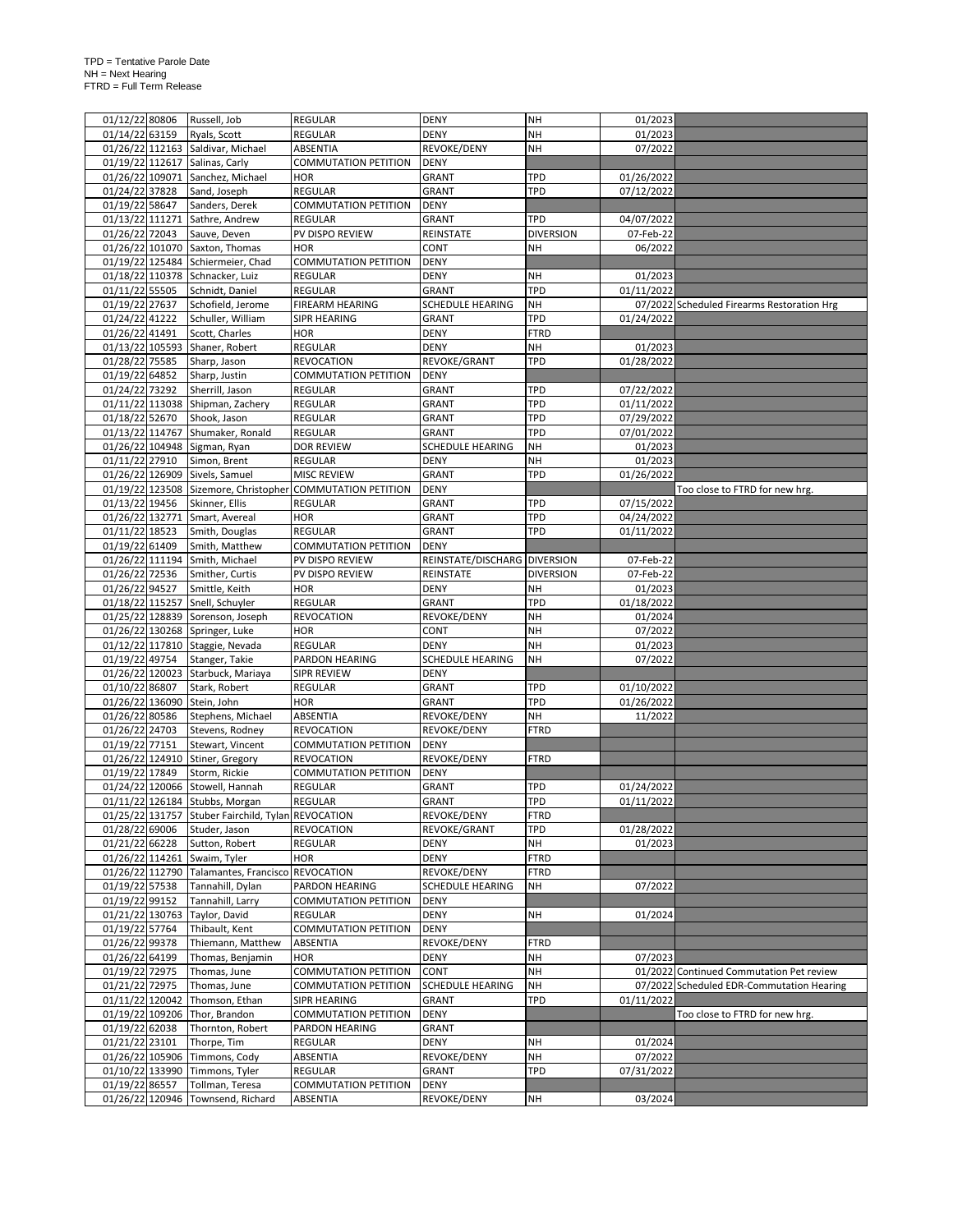| 01/12/22 80806  |                | Russell, Job                                         | <b>REGULAR</b>                                             | <b>DENY</b>                  | <b>NH</b>        | 01/2023    |                                            |
|-----------------|----------------|------------------------------------------------------|------------------------------------------------------------|------------------------------|------------------|------------|--------------------------------------------|
| 01/14/22 63159  |                | Ryals, Scott                                         | <b>REGULAR</b>                                             | DENY                         | <b>NH</b>        | 01/2023    |                                            |
|                 |                | 01/26/22 112163 Saldivar, Michael                    | ABSENTIA                                                   | REVOKE/DENY                  | <b>NH</b>        | 07/2022    |                                            |
|                 |                | 01/19/22 112617 Salinas, Carly                       | <b>COMMUTATION PETITION</b>                                | <b>DENY</b>                  |                  |            |                                            |
| 01/26/22 109071 |                | Sanchez, Michael                                     | <b>HOR</b>                                                 | GRANT                        | TPD              | 01/26/2022 |                                            |
| 01/24/22 37828  |                | Sand, Joseph                                         | REGULAR                                                    | GRANT                        | <b>TPD</b>       | 07/12/2022 |                                            |
| 01/19/22 58647  |                | Sanders, Derek                                       | <b>COMMUTATION PETITION</b>                                | <b>DENY</b>                  |                  |            |                                            |
| 01/13/22 111271 |                | Sathre, Andrew                                       | <b>REGULAR</b>                                             | GRANT                        | <b>TPD</b>       | 04/07/2022 |                                            |
|                 |                |                                                      |                                                            |                              |                  |            |                                            |
| 01/26/22 72043  |                | Sauve, Deven                                         | PV DISPO REVIEW                                            | REINSTATE                    | <b>DIVERSION</b> | 07-Feb-22  |                                            |
|                 |                | 01/26/22 101070 Saxton, Thomas                       | <b>HOR</b>                                                 | CONT                         | <b>NH</b>        | 06/2022    |                                            |
| 01/19/22 125484 |                | Schiermeier, Chad                                    | <b>COMMUTATION PETITION</b>                                | <b>DENY</b>                  |                  |            |                                            |
|                 |                | 01/18/22 110378 Schnacker, Luiz                      | <b>REGULAR</b>                                             | <b>DENY</b>                  | <b>NH</b>        | 01/2023    |                                            |
| 01/11/22 55505  |                | Schnidt, Daniel                                      | <b>REGULAR</b>                                             | GRANT                        | TPD              | 01/11/2022 |                                            |
| 01/19/22 27637  |                | Schofield, Jerome                                    | FIREARM HEARING                                            | SCHEDULE HEARING             | NH               |            | 07/2022 Scheduled Firearms Restoration Hrg |
| 01/24/22 41222  |                | Schuller, William                                    | <b>SIPR HEARING</b>                                        | GRANT                        | TPD              | 01/24/2022 |                                            |
| 01/26/22 41491  |                | Scott, Charles                                       | <b>HOR</b>                                                 | <b>DENY</b>                  | <b>FTRD</b>      |            |                                            |
|                 |                | 01/13/22 105593 Shaner, Robert                       | REGULAR                                                    | <b>DENY</b>                  | NH               | 01/2023    |                                            |
| 01/28/22 75585  |                | Sharp, Jason                                         | <b>REVOCATION</b>                                          | REVOKE/GRANT                 | <b>TPD</b>       | 01/28/2022 |                                            |
| 01/19/22 64852  |                | Sharp, Justin                                        | <b>COMMUTATION PETITION</b>                                | <b>DENY</b>                  |                  |            |                                            |
| 01/24/22 73292  |                | Sherrill, Jason                                      | <b>REGULAR</b>                                             | GRANT                        | TPD              | 07/22/2022 |                                            |
|                 |                | 01/11/22 113038 Shipman, Zachery                     | <b>REGULAR</b>                                             | GRANT                        | <b>TPD</b>       | 01/11/2022 |                                            |
|                 |                |                                                      | <b>REGULAR</b>                                             |                              | TPD              |            |                                            |
| 01/18/22 52670  |                | Shook, Jason                                         |                                                            | GRANT                        |                  | 07/29/2022 |                                            |
|                 |                | 01/13/22 114767 Shumaker, Ronald                     | <b>REGULAR</b>                                             | GRANT                        | <b>TPD</b>       | 07/01/2022 |                                            |
|                 |                | 01/26/22 104948 Sigman, Ryan                         | <b>DOR REVIEW</b>                                          | SCHEDULE HEARING             | NΗ               | 01/2023    |                                            |
| 01/11/22 27910  |                | Simon, Brent                                         | <b>REGULAR</b>                                             | DENY                         | <b>NH</b>        | 01/2023    |                                            |
|                 |                | 01/26/22 126909 Sivels, Samuel                       | <b>MISC REVIEW</b>                                         | GRANT                        | <b>TPD</b>       | 01/26/2022 |                                            |
|                 |                |                                                      | 01/19/22 123508 Sizemore, Christopher COMMUTATION PETITION | <b>DENY</b>                  |                  |            | Too close to FTRD for new hrg.             |
| 01/13/22 19456  |                | Skinner, Ellis                                       | <b>REGULAR</b>                                             | GRANT                        | TPD              | 07/15/2022 |                                            |
| 01/26/22 132771 |                | Smart, Avereal                                       | <b>HOR</b>                                                 | GRANT                        | TPD              | 04/24/2022 |                                            |
| 01/11/22 18523  |                | Smith, Douglas                                       | <b>REGULAR</b>                                             | GRANT                        | <b>TPD</b>       | 01/11/2022 |                                            |
| 01/19/22 61409  |                | Smith, Matthew                                       | <b>COMMUTATION PETITION</b>                                | <b>DENY</b>                  |                  |            |                                            |
|                 |                | 01/26/22 111194 Smith, Michael                       | PV DISPO REVIEW                                            | REINSTATE/DISCHARG DIVERSION |                  | 07-Feb-22  |                                            |
| 01/26/22 72536  |                | Smither, Curtis                                      | PV DISPO REVIEW                                            | REINSTATE                    | <b>DIVERSION</b> | 07-Feb-22  |                                            |
| 01/26/22 94527  |                | Smittle, Keith                                       | <b>HOR</b>                                                 | <b>DENY</b>                  | <b>NH</b>        | 01/2023    |                                            |
|                 |                | 01/18/22 115257 Snell, Schuyler                      | <b>REGULAR</b>                                             | GRANT                        | <b>TPD</b>       | 01/18/2022 |                                            |
|                 |                | 01/25/22 128839 Sorenson, Joseph                     | <b>REVOCATION</b>                                          | REVOKE/DENY                  | <b>NH</b>        | 01/2024    |                                            |
|                 |                |                                                      |                                                            |                              |                  |            |                                            |
|                 |                | 01/26/22 130268 Springer, Luke                       | <b>HOR</b>                                                 | CONT                         | <b>NH</b>        | 07/2022    |                                            |
|                 |                | 01/12/22 117810 Staggie, Nevada                      | <b>REGULAR</b>                                             | <b>DENY</b>                  | <b>NH</b>        | 01/2023    |                                            |
| 01/19/22 49754  |                | Stanger, Takie                                       | PARDON HEARING                                             | SCHEDULE HEARING             | <b>NH</b>        | 07/2022    |                                            |
|                 |                | 01/26/22 120023 Starbuck, Mariaya                    | SIPR REVIEW                                                | <b>DENY</b>                  |                  |            |                                            |
| 01/10/22 86807  |                | Stark, Robert                                        | <b>REGULAR</b>                                             | GRANT                        | TPD              | 01/10/2022 |                                            |
|                 |                | 01/26/22 136090 Stein, John                          | <b>HOR</b>                                                 | GRANT                        | <b>TPD</b>       | 01/26/2022 |                                            |
| 01/26/22 80586  |                | Stephens, Michael                                    | ABSENTIA                                                   | REVOKE/DENY                  | NH               | 11/2022    |                                            |
| 01/26/22 24703  |                | Stevens, Rodney                                      | <b>REVOCATION</b>                                          | REVOKE/DENY                  | <b>FTRD</b>      |            |                                            |
| 01/19/22 77151  |                | Stewart, Vincent                                     | <b>COMMUTATION PETITION</b>                                | <b>DENY</b>                  |                  |            |                                            |
|                 |                | 01/26/22 124910 Stiner, Gregory                      | <b>REVOCATION</b>                                          | REVOKE/DENY                  | <b>FTRD</b>      |            |                                            |
| 01/19/22 17849  |                | Storm, Rickie                                        | <b>COMMUTATION PETITION</b>                                | <b>DENY</b>                  |                  |            |                                            |
|                 |                | 01/24/22 120066 Stowell, Hannah                      | <b>REGULAR</b>                                             | GRANT                        |                  |            |                                            |
|                 |                |                                                      |                                                            |                              |                  |            |                                            |
|                 |                |                                                      |                                                            |                              | TPD              | 01/24/2022 |                                            |
|                 |                | 01/11/22 126184 Stubbs, Morgan                       | <b>REGULAR</b>                                             | GRANT                        | TPD              | 01/11/2022 |                                            |
|                 |                | 01/25/22 131757 Stuber Fairchild, Tylan REVOCATION   |                                                            | REVOKE/DENY                  | <b>FTRD</b>      |            |                                            |
|                 | 01/28/22 69006 | Studer, Jason                                        | <b>REVOCATION</b>                                          | REVOKE/GRANT                 | TPD              | 01/28/2022 |                                            |
| 01/21/22 66228  |                | Sutton, Robert                                       | REGULAR                                                    | DENY                         | NH               | 01/2023    |                                            |
|                 |                | 01/26/22 114261 Swaim, Tyler                         | <b>HOR</b>                                                 | <b>DENY</b>                  | <b>FTRD</b>      |            |                                            |
|                 |                | 01/26/22 112790 Talamantes, Francisco                | <b>REVOCATION</b>                                          | REVOKE/DENY                  | <b>FTRD</b>      |            |                                            |
| 01/19/22 57538  |                | Tannahill, Dylan                                     | PARDON HEARING                                             | SCHEDULE HEARING             | NΗ               | 07/2022    |                                            |
| 01/19/22 99152  |                | Tannahill, Larry                                     | <b>COMMUTATION PETITION</b>                                | <b>DENY</b>                  |                  |            |                                            |
| 01/21/22 130763 |                | Taylor, David                                        | <b>REGULAR</b>                                             | <b>DENY</b>                  | <b>NH</b>        | 01/2024    |                                            |
| 01/19/22 57764  |                | Thibault, Kent                                       | <b>COMMUTATION PETITION</b>                                | <b>DENY</b>                  |                  |            |                                            |
| 01/26/22 99378  |                | Thiemann, Matthew                                    | ABSENTIA                                                   | REVOKE/DENY                  | <b>FTRD</b>      |            |                                            |
| 01/26/22 64199  |                | Thomas, Benjamin                                     | <b>HOR</b>                                                 | <b>DENY</b>                  | <b>NH</b>        | 07/2023    |                                            |
| 01/19/22 72975  |                | Thomas, June                                         | <b>COMMUTATION PETITION</b>                                | CONT                         | NH               |            | 01/2022 Continued Commutation Pet review   |
| 01/21/22 72975  |                | Thomas, June                                         | <b>COMMUTATION PETITION</b>                                | SCHEDULE HEARING             | <b>NH</b>        |            | 07/2022 Scheduled EDR-Commutation Hearing  |
| 01/11/22 120042 |                | Thomson, Ethan                                       | SIPR HEARING                                               | GRANT                        | TPD              | 01/11/2022 |                                            |
|                 |                | Thor, Brandon                                        | <b>COMMUTATION PETITION</b>                                | <b>DENY</b>                  |                  |            | Too close to FTRD for new hrg.             |
| 01/19/22 109206 |                |                                                      |                                                            |                              |                  |            |                                            |
| 01/19/22 62038  |                | Thornton, Robert                                     | PARDON HEARING                                             | GRANT                        |                  |            |                                            |
| 01/21/22 23101  |                | Thorpe, Tim                                          | REGULAR                                                    | DENY                         | NΗ               | 01/2024    |                                            |
| 01/26/22 105906 |                | Timmons, Cody                                        | ABSENTIA                                                   | REVOKE/DENY                  | NH               | 07/2022    |                                            |
|                 |                | 01/10/22 133990 Timmons, Tyler                       | REGULAR                                                    | GRANT                        | TPD              | 07/31/2022 |                                            |
| 01/19/22 86557  |                | Tollman, Teresa<br>01/26/22 120946 Townsend, Richard | <b>COMMUTATION PETITION</b><br>ABSENTIA                    | DENY<br>REVOKE/DENY          | NΗ               | 03/2024    |                                            |